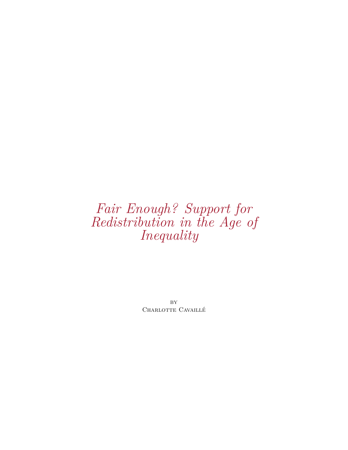# *Fair Enough? Support for Redistribution in the Age of Inequality*

**BY** CHARLOTTE CAVAILLÉ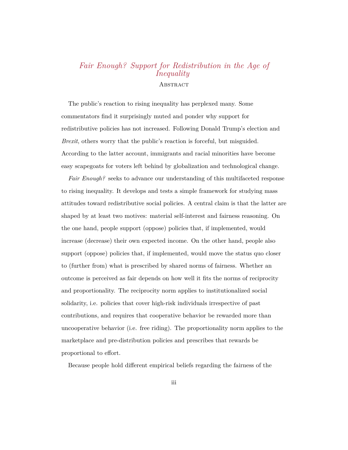# *Fair Enough? Support for Redistribution in the Age of Inequality* **ABSTRACT**

The public's reaction to rising inequality has perplexed many. Some commentators fnd it surprisingly muted and ponder why support for redistributive policies has not increased. Following Donald Trump's election and *Brexit*, others worry that the public's reaction is forceful, but misguided. According to the latter account, immigrants and racial minorities have become easy scapegoats for voters left behind by globalization and technological change.

*Fair Enough?* seeks to advance our understanding of this multifaceted response to rising inequality. It develops and tests a simple framework for studying mass attitudes toward redistributive social policies. A central claim is that the latter are shaped by at least two motives: material self-interest and fairness reasoning. On the one hand, people support (oppose) policies that, if implemented, would increase (decrease) their own expected income. On the other hand, people also support (oppose) policies that, if implemented, would move the status quo closer to (further from) what is prescribed by shared norms of fairness. Whether an outcome is perceived as fair depends on how well it fts the norms of reciprocity and proportionality. The reciprocity norm applies to institutionalized social solidarity, i.e. policies that cover high-risk individuals irrespective of past contributions, and requires that cooperative behavior be rewarded more than uncooperative behavior (i.e. free riding). The proportionality norm applies to the marketplace and pre-distribution policies and prescribes that rewards be proportional to efort.

Because people hold diferent empirical beliefs regarding the fairness of the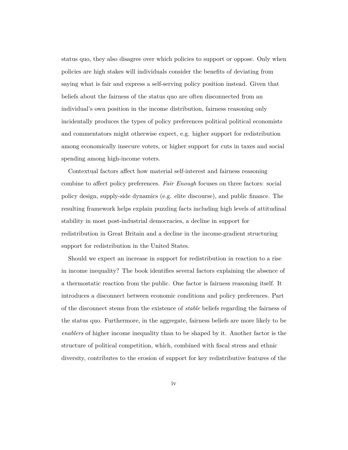status quo, they also disagree over which policies to support or oppose. Only when policies are high stakes will individuals consider the benefts of deviating from saying what is fair and express a self-serving policy position instead. Given that beliefs about the fairness of the status quo are often disconnected from an individual's own position in the income distribution, fairness reasoning only incidentally produces the types of policy preferences political political economists and commentators might otherwise expect, e.g. higher support for redistribution among economically insecure voters, or higher support for cuts in taxes and social spending among high-income voters.

Contextual factors afect how material self-interest and fairness reasoning combine to afect policy preferences. *Fair Enough* focuses on three factors: social policy design, supply-side dynamics (e.g. elite discourse), and public fnance. The resulting framework helps explain puzzling facts including high levels of attitudinal stability in most post-industrial democracies, a decline in support for redistribution in Great Britain and a decline in the income-gradient structuring support for redistribution in the United States.

Should we expect an increase in support for redistribution in reaction to a rise in income inequality? The book identifes several factors explaining the absence of a thermostatic reaction from the public. One factor is fairness reasoning itself. It introduces a disconnect between economic conditions and policy preferences. Part of the disconnect stems from the existence of *stable* beliefs regarding the fairness of the status quo. Furthermore, in the aggregate, fairness beliefs are more likely to be *enablers* of higher income inequality than to be shaped by it. Another factor is the structure of political competition, which, combined with fscal stress and ethnic diversity, contributes to the erosion of support for key redistributive features of the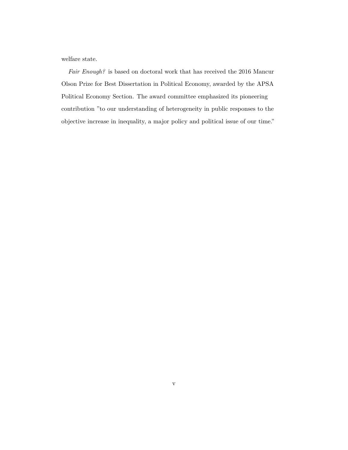welfare state.

*Fair Enough?* is based on doctoral work that has received the 2016 Mancur Olson Prize for Best Dissertation in Political Economy, awarded by the APSA Political Economy Section. The award committee emphasized its pioneering contribution "to our understanding of heterogeneity in public responses to the objective increase in inequality, a major policy and political issue of our time."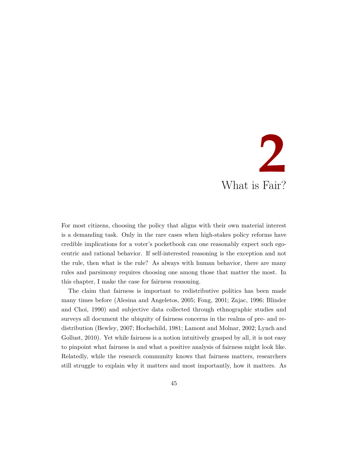# **2** What is Fair?

For most citizens, choosing the policy that aligns with their own material interest is a demanding task. Only in the rare cases when high-stakes policy reforms have credible implications for a voter's pocketbook can one reasonably expect such egocentric and rational behavior. If self-interested reasoning is the exception and not the rule, then what is the rule? As always with human behavior, there are many rules and parsimony requires choosing one among those that matter the most. In this chapter, I make the case for fairness reasoning.

The claim that fairness is important to redistributive politics has been made many times before ([Alesina and Angeletos,](#page-34-0) [2005;](#page-34-0) [Fong](#page-38-0), [2001;](#page-38-0) [Zajac](#page-44-0), [1996;](#page-44-0) [Blinder](#page-35-0) [and Choi,](#page-35-0) [1990\)](#page-35-0) and subjective data collected through ethnographic studies and surveys all document the ubiquity of fairness concerns in the realms of pre- and redistribution [\(Bewley](#page-35-1), [2007](#page-35-1); [Hochschild,](#page-39-0) [1981;](#page-39-0) [Lamont and Molnar,](#page-40-0) [2002;](#page-40-0) [Lynch and](#page-41-0) [Gollust,](#page-41-0) [2010\)](#page-41-0). Yet while fairness is a notion intuitively grasped by all, it is not easy to pinpoint what fairness is and what a positive analysis of fairness might look like. Relatedly, while the research community knows that fairness matters, researchers still struggle to explain why it matters and most importantly, how it matters. As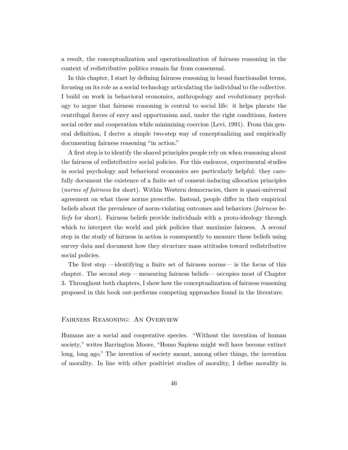a result, the conceptualization and operationalization of fairness reasoning in the context of redistributive politics remain far from consensual.

In this chapter, I start by defning fairness reasoning in broad functionalist terms, focusing on its role as a social technology articulating the individual to the collective. I build on work in behavioral economics, anthropology and evolutionary psychology to argue that fairness reasoning is central to social life: it helps placate the centrifugal forces of envy and opportunism and, under the right conditions, fosters social order and cooperation while minimizing coercion ([Levi](#page-40-1), [1991](#page-40-1)). From this general defnition, I derive a simple two-step way of conceptualizing and empirically documenting fairness reasoning "in action."

A frst step is to identify the shared principles people rely on when reasoning about the fairness of redistributive social policies. For this endeavor, experimental studies in social psychology and behavioral economics are particularly helpful: they carefully document the existence of a fnite set of consent-inducing allocation principles (*norms of fairness* for short). Within Western democracies, there is quasi-universal agreement on what these norms prescribe. Instead, people difer in their empirical beliefs about the prevalence of norm-violating outcomes and behaviors (*fairness beliefs* for short). Fairness beliefs provide individuals with a proto-ideology through which to interpret the world and pick policies that maximize fairness. A second step in the study of fairness in action is consequently to measure these beliefs using survey data and document how they structure mass attitudes toward redistributive social policies.

The frst step —identifying a fnite set of fairness norms— is the focus of this chapter. The second step —measuring fairness beliefs— occupies most of Chapter 3. Throughout both chapters, I show how the conceptualization of fairness reasoning proposed in this book out-performs competing approaches found in the literature.

#### Fairness Reasoning: An Overview

Humans are a social and cooperative species. "Without the invention of human society," writes Barrington Moore, "Homo Sapiens might well have become extinct long, long ago." The invention of society meant, among other things, the invention of morality. In line with other positivist studies of morality, I defne morality in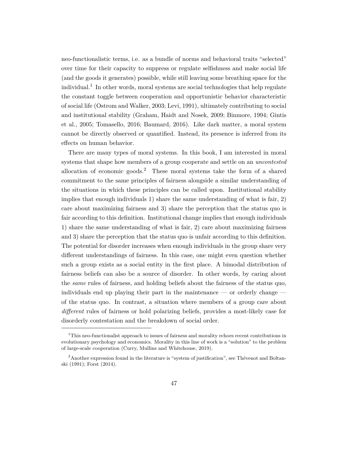neo-functionalistic terms, i.e. as a bundle of norms and behavioral traits "selected" over time for their capacity to suppress or regulate selfshness and make social life (and the goods it generates) possible, while still leaving some breathing space for the individual.<sup>1</sup> In other words, moral systems are social technologies that help regulate the constant toggle between cooperation and opportunistic behavior characteristic of social life ([Ostrom and Walker,](#page-42-0) [2003](#page-42-0); [Levi](#page-40-1), [1991\)](#page-40-1), ultimately contributing to social and institutional stability ([Graham, Haidt and Nosek](#page-38-1), [2009;](#page-38-1) [Binmore,](#page-35-2) [1994](#page-35-2); [Gintis](#page-38-2) [et al.,](#page-38-2) [2005;](#page-38-2) [Tomasello,](#page-43-0) [2016;](#page-43-0) [Baumard](#page-35-3), [2016](#page-35-3)). Like dark matter, a moral system cannot be directly observed or quantifed. Instead, its presence is inferred from its efects on human behavior.

There are many types of moral systems. In this book, I am interested in moral systems that shape how members of a group cooperate and settle on an *uncontested* allocation of economic goods.<sup>2</sup> These moral systems take the form of a shared commitment to the same principles of fairness alongside a similar understanding of the situations in which these principles can be called upon. Institutional stability implies that enough individuals 1) share the same understanding of what is fair, 2) care about maximizing fairness and 3) share the perception that the status quo is fair according to this defnition. Institutional change implies that enough individuals 1) share the same understanding of what is fair, 2) care about maximizing fairness and 3) share the perception that the status quo is unfair according to this defnition. The potential for disorder increases when enough individuals in the group share very diferent understandings of fairness. In this case, one might even question whether such a group exists as a social entity in the frst place. A bimodal distribution of fairness beliefs can also be a source of disorder. In other words, by caring about the *same* rules of fairness, and holding beliefs about the fairness of the status quo, individuals end up playing their part in the maintenance — or orderly change of the status quo. In contrast, a situation where members of a group care about *diferent* rules of fairness or hold polarizing beliefs, provides a most-likely case for disorderly contestation and the breakdown of social order.

<sup>&</sup>lt;sup>1</sup>This neo-functionalist approach to issues of fairness and morality echoes recent contributions in evolutionary psychology and economics. Morality in this line of work is a "solution" to the problem of large-scale cooperation ([Curry, Mullins and Whitehouse](#page-37-0), [2019](#page-37-0)).

<sup>&</sup>lt;sup>2</sup> Another expression found in the literature is "system of justification", see [Thévenot and Boltan](#page-43-1)[ski](#page-43-1) ([1991](#page-43-1)); [Forst](#page-38-3) ([2014](#page-38-3)).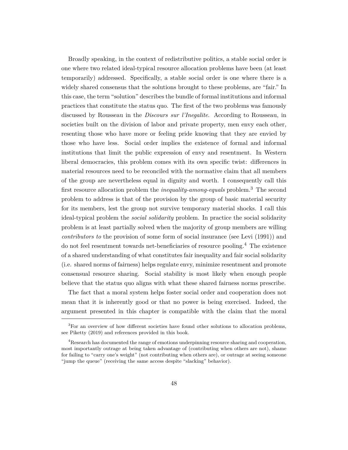Broadly speaking, in the context of redistributive politics, a stable social order is one where two related ideal-typical resource allocation problems have been (at least temporarily) addressed. Specifcally, a stable social order is one where there is a widely shared consensus that the solutions brought to these problems, are "fair." In this case, the term "solution" describes the bundle of formal institutions and informal practices that constitute the status quo. The frst of the two problems was famously discussed by Rousseau in the *Discours sur l'Inegalite*. According to Rousseau, in societies built on the division of labor and private property, men envy each other, resenting those who have more or feeling pride knowing that they are envied by those who have less. Social order implies the existence of formal and informal institutions that limit the public expression of envy and resentment. In Western liberal democracies, this problem comes with its own specifc twist: diferences in material resources need to be reconciled with the normative claim that all members of the group are nevertheless equal in dignity and worth. I consequently call this frst resource allocation problem the *inequality-among-equals* problem.3 The second problem to address is that of the provision by the group of basic material security for its members, lest the group not survive temporary material shocks. I call this ideal-typical problem the *social solidarity* problem. In practice the social solidarity problem is at least partially solved when the majority of group members are willing *contributors to* the provision of some form of social insurance (see [Levi](#page-40-1) ([1991](#page-40-1))) and do not feel resentment towards net-benefciaries of resource pooling.4 The existence of a shared understanding of what constitutes fair inequality and fair social solidarity (i.e. shared norms of fairness) helps regulate envy, minimize resentment and promote consensual resource sharing. Social stability is most likely when enough people believe that the status quo aligns with what these shared fairness norms prescribe.

The fact that a moral system helps foster social order and cooperation does not mean that it is inherently good or that no power is being exercised. Indeed, the argument presented in this chapter is compatible with the claim that the moral

 ${}^{3}$  For an overview of how different societies have found other solutions to allocation problems, see [Piketty](#page-42-1) ([2019](#page-42-1)) and references provided in this book.

<sup>&</sup>lt;sup>4</sup>Research has documented the range of emotions underpinning resource sharing and cooperation, most importantly outrage at being taken advantage of (contributing when others are not), shame for failing to "carry one's weight" (not contributing when others are), or outrage at seeing someone "jump the queue" (receiving the same access despite "slacking" behavior).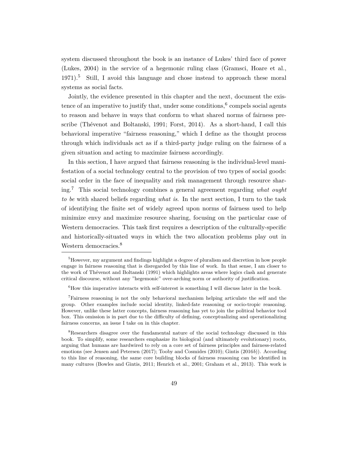system discussed throughout the book is an instance of Lukes' third face of power [\(Lukes,](#page-40-2) [2004\)](#page-40-2) in the service of a hegemonic ruling class ([Gramsci, Hoare et al.,](#page-39-1)  $1971$ <sup>5</sup>. Still, I avoid this language and chose instead to approach these moral systems as social facts.

Jointly, the evidence presented in this chapter and the next, document the existence of an imperative to justify that, under some conditions,  $6$  compels social agents to reason and behave in ways that conform to what shared norms of fairness prescribe ([Thévenot and Boltanski,](#page-43-1) [1991](#page-43-1); [Forst,](#page-38-3) [2014](#page-38-3)). As a short-hand, I call this behavioral imperative "fairness reasoning," which I defne as the thought process through which individuals act as if a third-party judge ruling on the fairness of a given situation and acting to maximize fairness accordingly.

In this section, I have argued that fairness reasoning is the individual-level manifestation of a social technology central to the provision of two types of social goods: social order in the face of inequality and risk management through resource sharing.7 This social technology combines a general agreement regarding *what ought to be* with shared beliefs regarding *what is*. In the next section, I turn to the task of identifying the fnite set of widely agreed upon norms of fairness used to help minimize envy and maximize resource sharing, focusing on the particular case of Western democracies. This task frst requires a description of the culturally-specifc and historically-situated ways in which the two allocation problems play out in Western democracies.<sup>8</sup>

<sup>&</sup>lt;sup>5</sup>However, my argument and findings highlight a degree of pluralism and discretion in how people engage in fairness reasoning that is disregarded by this line of work. In that sense, I am closer to the work of [Thévenot and Boltanski](#page-43-1) [\(1991\)](#page-43-1) which highlights areas where logics clash and generate critical discourse, without any "hegemonic" over-arching norm or authority of justifcation.

 ${}^{6}$ How this imperative interacts with self-interest is something I will discuss later in the book.

<sup>7</sup>Fairness reasoning is not the only behavioral mechanism helping articulate the self and the group. Other examples include social identity, linked-fate reasoning or socio-tropic reasoning. However, unlike these latter concepts, fairness reasoning has yet to join the political behavior tool box. This omission is in part due to the diffculty of defning, conceptualizing and operationalizing fairness concerns, an issue I take on in this chapter.

<sup>&</sup>lt;sup>8</sup>Researchers disagree over the fundamental nature of the social technology discussed in this book. To simplify, some researchers emphasize its biological (and ultimately evolutionary) roots, arguing that humans are hardwired to rely on a core set of fairness principles and fairness-related emotions (see [Jensen and Petersen](#page-40-3) [\(2017\)](#page-40-3); [Tooby and Cosmides](#page-43-2) [\(2010\)](#page-43-2); [Gintis](#page-38-4) [\(2016](#page-38-4)*b*)). According to this line of reasoning, the same core building blocks of fairness reasoning can be identifed in many cultures [\(Bowles and Gintis,](#page-35-4) [2011](#page-35-4); [Henrich et al.](#page-39-2), [2001;](#page-39-2) [Graham et al.](#page-39-3), [2013\)](#page-39-3). This work is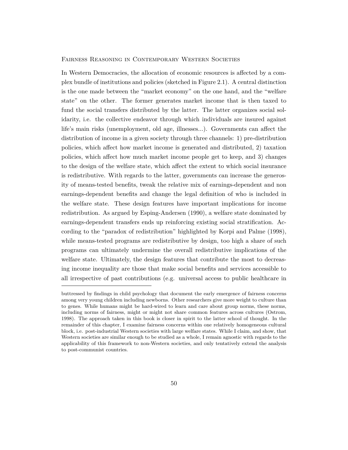#### Fairness Reasoning in Contemporary Western Societies

In Western Democracies, the allocation of economic resources is afected by a complex bundle of institutions and policies (sketched in Figure [2.1](#page-10-0)). A central distinction is the one made between the "market economy" on the one hand, and the "welfare state" on the other. The former generates market income that is then taxed to fund the social transfers distributed by the latter. The latter organizes social solidarity, i.e. the collective endeavor through which individuals are insured against life's main risks (unemployment, old age, illnesses...). Governments can afect the distribution of income in a given society through three channels: 1) pre-distribution policies, which afect how market income is generated and distributed, 2) taxation policies, which afect how much market income people get to keep, and 3) changes to the design of the welfare state, which afect the extent to which social insurance is redistributive. With regards to the latter, governments can increase the generosity of means-tested benefts, tweak the relative mix of earnings-dependent and non earnings-dependent benefts and change the legal defnition of who is included in the welfare state. These design features have important implications for income redistribution. As argued by [Esping-Andersen](#page-37-1) ([1990\)](#page-37-1), a welfare state dominated by earnings-dependent transfers ends up reinforcing existing social stratifcation. According to the "paradox of redistribution" highlighted by [Korpi and Palme](#page-40-4) ([1998\)](#page-40-4), while means-tested programs are redistributive by design, too high a share of such programs can ultimately undermine the overall redistributive implications of the welfare state. Ultimately, the design features that contribute the most to decreasing income inequality are those that make social benefts and services accessible to all irrespective of past contributions (e.g. universal access to public healthcare in

buttressed by fndings in child psychology that document the early emergence of fairness concerns among very young children including newborns. Other researchers give more weight to culture than to genes. While humans might be hard-wired to learn and care about group norms, these norms, including norms of fairness, might or might not share common features across cultures [\(Ostrom](#page-41-1), [1998](#page-41-1)). The approach taken in this book is closer in spirit to the latter school of thought. In the remainder of this chapter, I examine fairness concerns within one relatively homogeneous cultural block, i.e. post-industrial Western societies with large welfare states. While I claim, and show, that Western societies are similar enough to be studied as a whole, I remain agnostic with regards to the applicability of this framework to non-Western societies, and only tentatively extend the analysis to post-communist countries.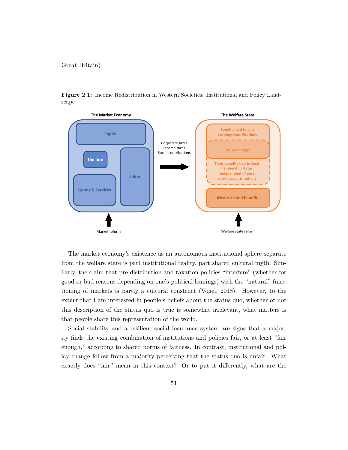Great Britain).

<span id="page-10-0"></span>**Figure 2.1:** Income Redistribution in Western Societies: Institutional and Policy Landscape



The market economy's existence as an autonomous institutional sphere separate from the welfare state is part institutional reality, part shared cultural myth. Similarly, the claim that pre-distribution and taxation policies "interfere" (whether for good or bad reasons depending on one's political leanings) with the "natural" functioning of markets is partly a cultural construct [\(Vogel](#page-44-1), [2018\)](#page-44-1). However, to the extent that I am interested in people's beliefs about the status quo, whether or not this description of the status quo is true is somewhat irrelevant, what matters is that people share this representation of the world.

Social stability and a resilient social insurance system are signs that a majority fnds the existing combination of institutions and policies fair, or at least "fair enough," according to shared norms of fairness. In contrast, institutional and policy change follow from a majority perceiving that the status quo is unfair. What exactly does "fair" mean in this context? Or to put it diferently, what are the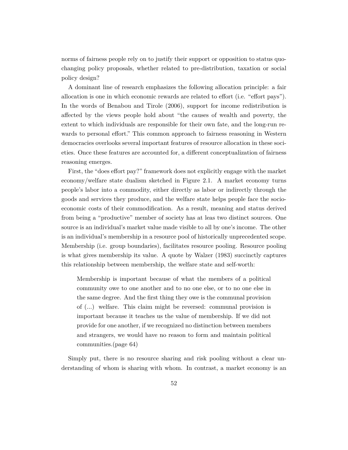norms of fairness people rely on to justify their support or opposition to status quochanging policy proposals, whether related to pre-distribution, taxation or social policy design?

A dominant line of research emphasizes the following allocation principle: a fair allocation is one in which economic rewards are related to effort (i.e. "effort pays"). In the words of [Benabou and Tirole](#page-35-5) [\(2006](#page-35-5)), support for income redistribution is afected by the views people hold about "the causes of wealth and poverty, the extent to which individuals are responsible for their own fate, and the long-run rewards to personal efort." This common approach to fairness reasoning in Western democracies overlooks several important features of resource allocation in these societies. Once these features are accounted for, a diferent conceptualization of fairness reasoning emerges.

First, the "does efort pay?" framework does not explicitly engage with the market economy/welfare state dualism sketched in Figure [2.1.](#page-10-0) A market economy turns people's labor into a commodity, either directly as labor or indirectly through the goods and services they produce, and the welfare state helps people face the socioeconomic costs of their commodifcation. As a result, meaning and status derived from being a "productive" member of society has at leas two distinct sources. One source is an individual's market value made visible to all by one's income. The other is an individual's membership in a resource pool of historically unprecedented scope. Membership (i.e. group boundaries), facilitates resource pooling. Resource pooling is what gives membership its value. A quote by [Walzer](#page-44-2) ([1983\)](#page-44-2) succinctly captures this relationship between membership, the welfare state and self-worth:

Membership is important because of what the members of a political community owe to one another and to no one else, or to no one else in the same degree. And the frst thing they owe is the communal provision of (...) welfare. This claim might be reversed: communal provision is important because it teaches us the value of membership. If we did not provide for one another, if we recognized no distinction between members and strangers, we would have no reason to form and maintain political communities.(page 64)

Simply put, there is no resource sharing and risk pooling without a clear understanding of whom is sharing with whom. In contrast, a market economy is an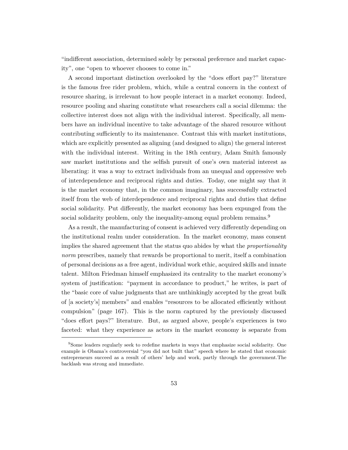"indiferent association, determined solely by personal preference and market capacity", one "open to whoever chooses to come in."

A second important distinction overlooked by the "does efort pay?" literature is the famous free rider problem, which, while a central concern in the context of resource sharing, is irrelevant to how people interact in a market economy. Indeed, resource pooling and sharing constitute what researchers call a social dilemma: the collective interest does not align with the individual interest. Specifcally, all members have an individual incentive to take advantage of the shared resource without contributing suffciently to its maintenance. Contrast this with market institutions, which are explicitly presented as aligning (and designed to align) the general interest with the individual interest. Writing in the 18th century, Adam Smith famously saw market institutions and the selfsh pursuit of one's own material interest as liberating: it was a way to extract individuals from an unequal and oppressive web of interdependence and reciprocal rights and duties. Today, one might say that it is the market economy that, in the common imaginary, has successfully extracted itself from the web of interdependence and reciprocal rights and duties that defne social solidarity. Put diferently, the market economy has been expunged from the social solidarity problem, only the inequality-among equal problem remains.<sup>9</sup>

As a result, the manufacturing of consent is achieved very diferently depending on the institutional realm under consideration. In the market economy, mass consent implies the shared agreement that the status quo abides by what the *proportionality norm* prescribes, namely that rewards be proportional to merit, itself a combination of personal decisions as a free agent, individual work ethic, acquired skills and innate talent. Milton Friedman himself emphasized its centrality to the market economy's system of justifcation: "payment in accordance to product," he writes, is part of the "basic core of value judgments that are unthinkingly accepted by the great bulk of [a society's] members" and enables "resources to be allocated effciently without compulsion" (page 167). This is the norm captured by the previously discussed "does effort pays?" literature. But, as argued above, people's experiences is two faceted: what they experience as actors in the market economy is separate from

<sup>&</sup>lt;sup>9</sup>Some leaders regularly seek to redefine markets in ways that emphasize social solidarity. One example is Obama's controversial "you did not built that" speech where he stated that economic entrepreneurs succeed as a result of others' help and work, partly through the government.The backlash was strong and immediate.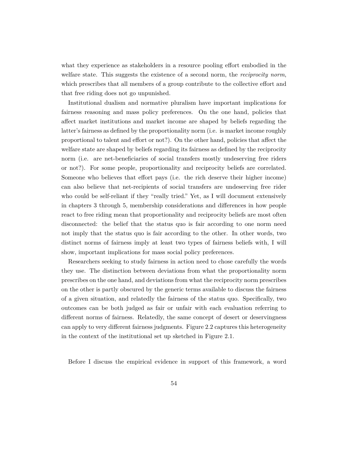what they experience as stakeholders in a resource pooling efort embodied in the welfare state. This suggests the existence of a second norm, the *reciprocity norm*, which prescribes that all members of a group contribute to the collective efort and that free riding does not go unpunished.

Institutional dualism and normative pluralism have important implications for fairness reasoning and mass policy preferences. On the one hand, policies that afect market institutions and market income are shaped by beliefs regarding the latter's fairness as defned by the proportionality norm (i.e. is market income roughly proportional to talent and efort or not?). On the other hand, policies that afect the welfare state are shaped by beliefs regarding its fairness as defned by the reciprocity norm (i.e. are net-beneficiaries of social transfers mostly undeserving free riders or not?). For some people, proportionality and reciprocity beliefs are correlated. Someone who believes that efort pays (i.e. the rich deserve their higher income) can also believe that net-recipients of social transfers are undeserving free rider who could be self-reliant if they "really tried." Yet, as I will document extensively in chapters 3 through 5, membership considerations and diferences in how people react to free riding mean that proportionality and reciprocity beliefs are most often disconnected: the belief that the status quo is fair according to one norm need not imply that the status quo is fair according to the other. In other words, two distinct norms of fairness imply at least two types of fairness beliefs with, I will show, important implications for mass social policy preferences.

Researchers seeking to study fairness in action need to chose carefully the words they use. The distinction between deviations from what the proportionality norm prescribes on the one hand, and deviations from what the reciprocity norm prescribes on the other is partly obscured by the generic terms available to discuss the fairness of a given situation, and relatedly the fairness of the status quo. Specifcally, two outcomes can be both judged as fair or unfair with each evaluation referring to diferent norms of fairness. Relatedly, the same concept of desert or deservingness can apply to very diferent fairness judgments. Figure [2.2](#page-14-0) captures this heterogeneity in the context of the institutional set up sketched in Figure [2.1](#page-10-0).

Before I discuss the empirical evidence in support of this framework, a word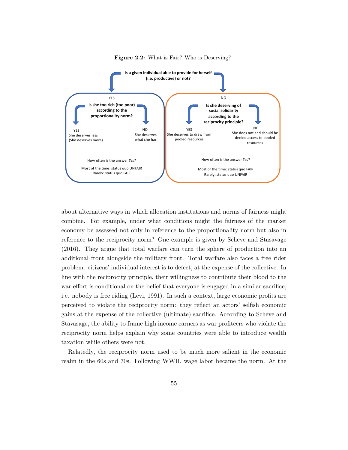<span id="page-14-0"></span>

**Figure 2.2:** What is Fair? Who is Deserving?

about alternative ways in which allocation institutions and norms of fairness might combine. For example, under what conditions might the fairness of the market economy be assessed not only in reference to the proportionality norm but also in reference to the reciprocity norm? One example is given by [Scheve and Stasavage](#page-42-2) [\(2016](#page-42-2)). They argue that total warfare can turn the sphere of production into an additional front alongside the military front. Total warfare also faces a free rider problem: citizens' individual interest is to defect, at the expense of the collective. In line with the reciprocity principle, their willingness to contribute their blood to the war efort is conditional on the belief that everyone is engaged in a similar sacrifce, i.e. nobody is free riding ([Levi](#page-40-1), [1991\)](#page-40-1). In such a context, large economic profts are perceived to violate the reciprocity norm: they refect an actors' selfsh economic gains at the expense of the collective (ultimate) sacrifce. According to Scheve and Stavasage, the ability to frame high income earners as war profteers who violate the reciprocity norm helps explain why some countries were able to introduce wealth taxation while others were not.

Relatedly, the reciprocity norm used to be much more salient in the economic realm in the 60s and 70s. Following WWII, wage labor became the norm. At the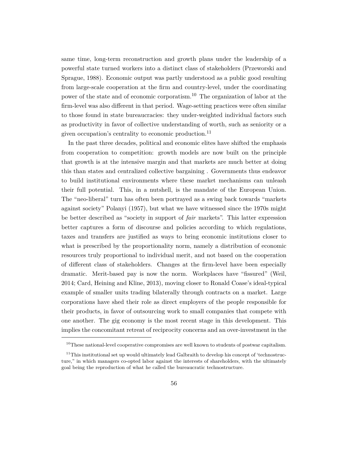same time, long-term reconstruction and growth plans under the leadership of a powerful state turned workers into a distinct class of stakeholders ([Przeworski and](#page-42-3) [Sprague](#page-42-3), [1988\)](#page-42-3). Economic output was partly understood as a public good resulting from large-scale cooperation at the frm and country-level, under the coordinating power of the state and of economic corporatism.10 The organization of labor at the frm-level was also diferent in that period. Wage-setting practices were often similar to those found in state bureaucracies: they under-weighted individual factors such as productivity in favor of collective understanding of worth, such as seniority or a given occupation's centrality to economic production.<sup>11</sup>

In the past three decades, political and economic elites have shifted the emphasis from cooperation to competition: growth models are now built on the principle that growth is at the intensive margin and that markets are much better at doing this than states and centralized collective bargaining . Governments thus endeavor to build institutional environments where these market mechanisms can unleash their full potential. This, in a nutshell, is the mandate of the European Union. The "neo-liberal" turn has often been portrayed as a swing back towards "markets against society" [Polanyi](#page-42-4) [\(1957](#page-42-4)), but what we have witnessed since the 1970s might be better described as "society in support of *fair* markets". This latter expression better captures a form of discourse and policies according to which regulations, taxes and transfers are justifed as ways to bring economic institutions closer to what is prescribed by the proportionality norm, namely a distribution of economic resources truly proportional to individual merit, and not based on the cooperation of diferent class of stakeholders. Changes at the frm-level have been especially dramatic. Merit-based pay is now the norm. Workplaces have "fssured" ([Weil,](#page-44-3) [2014;](#page-44-3) [Card, Heining and Kline,](#page-36-0) [2013\)](#page-36-0), moving closer to Ronald Coase's ideal-typical example of smaller units trading bilaterally through contracts on a market. Large corporations have shed their role as direct employers of the people responsible for their products, in favor of outsourcing work to small companies that compete with one another. The gig economy is the most recent stage in this development. This implies the concomitant retreat of reciprocity concerns and an over-investment in the

 $10$ These national-level cooperative compromises are well known to students of postwar capitalism.

 $11$ This institutional set up would ultimately lead Galbraith to develop his concept of 'technostructure," in which managers co-opted labor against the interests of shareholders, with the ultimately goal being the reproduction of what he called the bureaucratic technostructure.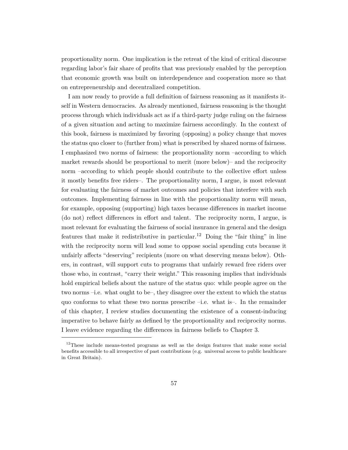proportionality norm. One implication is the retreat of the kind of critical discourse regarding labor's fair share of profts that was previously enabled by the perception that economic growth was built on interdependence and cooperation more so that on entrepreneurship and decentralized competition.

I am now ready to provide a full defnition of fairness reasoning as it manifests itself in Western democracies. As already mentioned, fairness reasoning is the thought process through which individuals act as if a third-party judge ruling on the fairness of a given situation and acting to maximize fairness accordingly. In the context of this book, fairness is maximized by favoring (opposing) a policy change that moves the status quo closer to (further from) what is prescribed by shared norms of fairness. I emphasized two norms of fairness: the proportionality norm –according to which market rewards should be proportional to merit (more below)– and the reciprocity norm –according to which people should contribute to the collective efort unless it mostly benefts free riders–. The proportionality norm, I argue, is most relevant for evaluating the fairness of market outcomes and policies that interfere with such outcomes. Implementing fairness in line with the proportionality norm will mean, for example, opposing (supporting) high taxes because diferences in market income (do not) refect diferences in efort and talent. The reciprocity norm, I argue, is most relevant for evaluating the fairness of social insurance in general and the design features that make it redistributive in particular.<sup>12</sup> Doing the "fair thing" in line with the reciprocity norm will lead some to oppose social spending cuts because it unfairly afects "deserving" recipients (more on what deserving means below). Others, in contrast, will support cuts to programs that unfairly reward free riders over those who, in contrast, "carry their weight." This reasoning implies that individuals hold empirical beliefs about the nature of the status quo: while people agree on the two norms –i.e. what ought to be–, they disagree over the extent to which the status quo conforms to what these two norms prescribe –i.e. what is–. In the remainder of this chapter, I review studies documenting the existence of a consent-inducing imperative to behave fairly as defned by the proportionality and reciprocity norms. I leave evidence regarding the diferences in fairness beliefs to Chapter 3.

 $12$ These include means-tested programs as well as the design features that make some social benefts accessible to all irrespective of past contributions (e.g. universal access to public healthcare in Great Britain).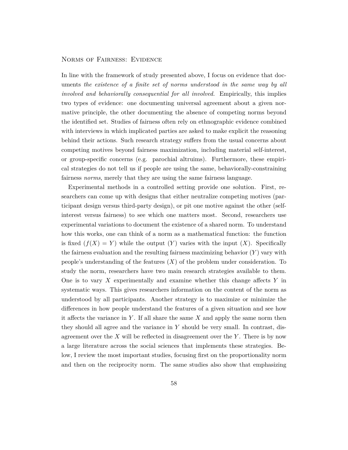#### Norms of Fairness: Evidence

In line with the framework of study presented above, I focus on evidence that documents *the existence of a fnite set of norms understood in the same way by all involved and behaviorally consequential for all involved.* Empirically, this implies two types of evidence: one documenting universal agreement about a given normative principle, the other documenting the absence of competing norms beyond the identifed set. Studies of fairness often rely on ethnographic evidence combined with interviews in which implicated parties are asked to make explicit the reasoning behind their actions. Such research strategy sufers from the usual concerns about competing motives beyond fairness maximization, including material self-interest, or group-specifc concerns (e.g. parochial altruims). Furthermore, these empirical strategies do not tell us if people are using the same, behaviorally-constraining fairness *norms*, merely that they are using the same fairness language.

Experimental methods in a controlled setting provide one solution. First, researchers can come up with designs that either neutralize competing motives (participant design versus third-party design), or pit one motive against the other (selfinterest versus fairness) to see which one matters most. Second, researchers use experimental variations to document the existence of a shared norm. To understand how this works, one can think of a norm as a mathematical function: the function is fixed  $(f(X) = Y)$  while the output  $(Y)$  varies with the input  $(X)$ . Specifically the fairness evaluation and the resulting fairness maximizing behavior (*Y* ) vary with people's understanding of the features (*X*) of the problem under consideration. To study the norm, researchers have two main research strategies available to them. One is to vary *X* experimentally and examine whether this change afects *Y* in systematic ways. This gives researchers information on the content of the norm as understood by all participants. Another strategy is to maximize or minimize the diferences in how people understand the features of a given situation and see how it afects the variance in *Y* . If all share the same *X* and apply the same norm then they should all agree and the variance in *Y* should be very small. In contrast, disagreement over the *X* will be refected in disagreement over the *Y* . There is by now a large literature across the social sciences that implements these strategies. Below, I review the most important studies, focusing frst on the proportionality norm and then on the reciprocity norm. The same studies also show that emphasizing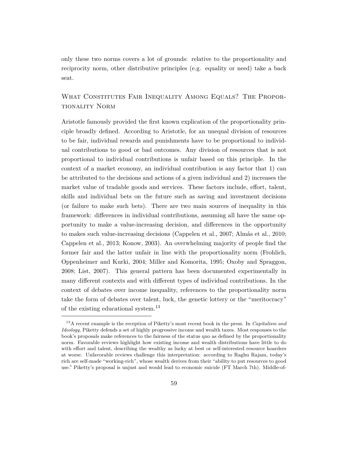only these two norms covers a lot of grounds: relative to the proportionality and reciprocity norm, other distributive principles (e.g. equality or need) take a back seat.

# WHAT CONSTITUTES FAIR INEQUALITY AMONG EQUALS? THE PROPORtionality Norm

Aristotle famously provided the frst known explication of the proportionality principle broadly defned. According to Aristotle, for an unequal division of resources to be fair, individual rewards and punishments have to be proportional to individual contributions to good or bad outcomes. Any division of resources that is not proportional to individual contributions is unfair based on this principle. In the context of a market economy, an individual contribution is any factor that 1) can be attributed to the decisions and actions of a given individual and 2) increases the market value of tradable goods and services. These factors include, efort, talent, skills and individual bets on the future such as saving and investment decisions (or failure to make such bets). There are two main sources of inequality in this framework: diferences in individual contributions, assuming all have the same opportunity to make a value-increasing decision, and diferences in the opportunity to makes such value-increasing decisions [\(Cappelen et al.,](#page-36-1) [2007](#page-36-1); [Almås et al.,](#page-34-1) [2010;](#page-34-1) [Cappelen et al.](#page-36-2), [2013](#page-36-2); [Konow](#page-40-5), [2003\)](#page-40-5). An overwhelming majority of people fnd the former fair and the latter unfair in line with the proportionality norm [\(Frohlich,](#page-38-5) [Oppenheimer and Kurki,](#page-38-5) [2004](#page-38-5); [Miller and Komorita](#page-41-2), [1995;](#page-41-2) [Oxoby and Spraggon,](#page-42-5) [2008;](#page-42-5) [List](#page-40-6), [2007](#page-40-6)). This general pattern has been documented experimentally in many diferent contexts and with diferent types of individual contributions. In the context of debates over income inequality, references to the proportionality norm take the form of debates over talent, luck, the genetic lottery or the "meritocracy" of the existing educational system.<sup>13</sup>

<sup>13</sup>A recent example is the reception of Piketty's most recent book in the press. In *Capitalism and Ideology*, Piketty defends a set of highly progressive income and wealth taxes. Most responses to the book's proposals make references to the fairness of the status quo as defned by the proportionality norm. Favorable reviews highlight how existing income and wealth distributions have little to do with efort and talent, describing the wealthy as lucky at best or self-interested resource hoarders at worse. Unfavorable reviews challenge this interpretation: according to Raghu Rajam, today's rich are self-made "working-rich", whose wealth derives from their "ability to put resources to good use." Piketty's proposal is unjust and would lead to economic suicide (FT March 7th). Middle-of-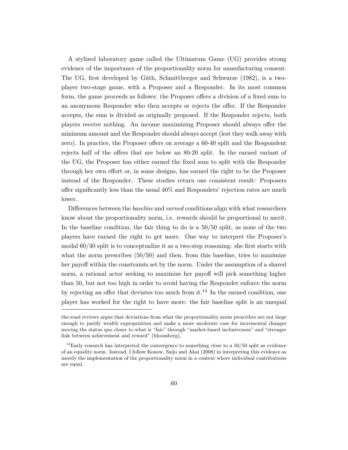A stylized laboratory game called the Ultimatum Game (UG) provides strong evidence of the importance of the proportionality norm for manufacturing consent. The UG, frst developed by [Güth, Schmittberger and Schwarze](#page-39-4) [\(1982\)](#page-39-4), is a twoplayer two-stage game, with a Proposer and a Responder. In its most common form, the game proceeds as follows: the Proposer ofers a division of a fxed sum to an anonymous Responder who then accepts or rejects the ofer. If the Responder accepts, the sum is divided as originally proposed. If the Responder rejects, both players receive nothing. An income maximizing Proposer should always ofer the minimum amount and the Responder should always accept (lest they walk away with zero). In practice, the Proposer ofers on average a 60-40 split and the Respondent rejects half of the ofers that are below an 80-20 split. In the earned variant of the UG, the Proposer has either earned the fxed sum to split with the Responder through her own efort or, in some designs, has earned the right to be the Proposer instead of the Responder. These studies return one consistent result: Proposers ofer signifcantly less than the usual 40% and Responders' rejection rates are much lower.

Diferences between the *baseline* and *earned* conditions align with what researchers know about the proportionality norm, i.e. rewards should be proportional to merit. In the baseline condition, the fair thing to do is a 50/50 split, as none of the two players have earned the right to get more. One way to interpret the Proposer's modal 60/40 split is to conceptualize it as a two-step reasoning: she frst starts with what the norm prescribes  $(50/50)$  and then, from this baseline, tries to maximize her payoff within the constraints set by the norm. Under the assumption of a shared norm, a rational actor seeking to maximize her payof will pick something higher than 50, but not too high in order to avoid having the Responder enforce the norm by rejecting an offer that deviates too much from it.<sup>14</sup> In the earned condition, one player has worked for the right to have more: the fair baseline split is an unequal

the-road reviews argue that deviations from what the proportionality norm prescribes are not large enough to justify wealth expropriation and make a more moderate case for incremental changes moving the status quo closer to what is "fair" through "market-based inclusiveness" and "stronger link between achievement and reward" (bloomberg).

 $14$ Early research has interpreted the convergence to something close to a 50/50 split as evidence of an equality norm. Instead, I follow [Konow, Saijo and Akai](#page-40-7) ([2008](#page-40-7)) in interpreting this evidence as merely the implementation of the proportionality norm in a context where individual contributions are equal.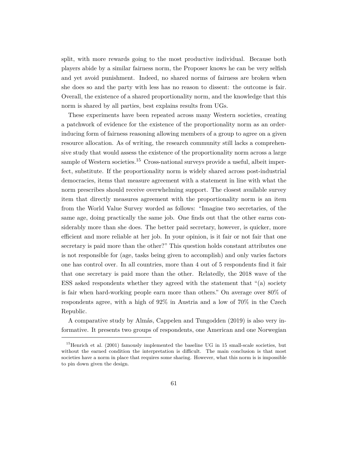split, with more rewards going to the most productive individual. Because both players abide by a similar fairness norm, the Proposer knows he can be very selfsh and yet avoid punishment. Indeed, no shared norms of fairness are broken when she does so and the party with less has no reason to dissent: the outcome is fair. Overall, the existence of a shared proportionality norm, and the knowledge that this norm is shared by all parties, best explains results from UGs.

These experiments have been repeated across many Western societies, creating a patchwork of evidence for the existence of the proportionality norm as an orderinducing form of fairness reasoning allowing members of a group to agree on a given resource allocation. As of writing, the research community still lacks a comprehensive study that would assess the existence of the proportionality norm across a large sample of Western societies.<sup>15</sup> Cross-national surveys provide a useful, albeit imperfect, substitute. If the proportionality norm is widely shared across post-industrial democracies, items that measure agreement with a statement in line with what the norm prescribes should receive overwhelming support. The closest available survey item that directly measures agreement with the proportionality norm is an item from the World Value Survey worded as follows: "Imagine two secretaries, of the same age, doing practically the same job. One fnds out that the other earns considerably more than she does. The better paid secretary, however, is quicker, more effcient and more reliable at her job. In your opinion, is it fair or not fair that one secretary is paid more than the other?" This question holds constant attributes one is not responsible for (age, tasks being given to accomplish) and only varies factors one has control over. In all countries, more than 4 out of 5 respondents fnd it fair that one secretary is paid more than the other. Relatedly, the 2018 wave of the ESS asked respondents whether they agreed with the statement that "(a) society is fair when hard-working people earn more than others." On average over 80% of respondents agree, with a high of 92% in Austria and a low of 70% in the Czech Republic.

A comparative study by [Almås, Cappelen and Tungodden](#page-34-2) [\(2019](#page-34-2)) is also very informative. It presents two groups of respondents, one American and one Norwegian

<sup>&</sup>lt;sup>15</sup>[Henrich et al.](#page-39-2) ([2001](#page-39-2)) famously implemented the baseline UG in 15 small-scale societies, but without the earned condition the interpretation is diffcult. The main conclusion is that most societies have a norm in place that requires some sharing. However, what this norm is is impossible to pin down given the design.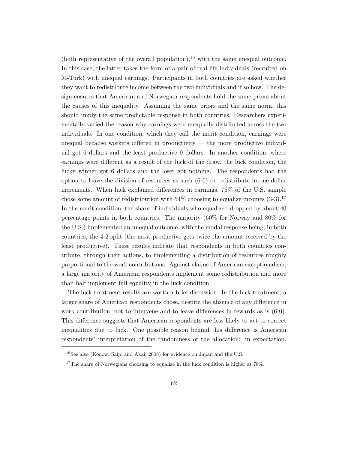(both representative of the overall population),  $^{16}$  with the same unequal outcome. In this case, the latter takes the form of a pair of real life individuals (recruited on M-Turk) with unequal earnings. Participants in both countries are asked whether they want to redistribute income between the two individuals and if so how. The design ensures that American and Norwegian respondents hold the same priors about the causes of this inequality. Assuming the same priors and the same norm, this should imply the same predictable response in both countries. Researchers experimentally varied the reason why earnings were unequally distributed across the two individuals. In one condition, which they call the merit condition, earnings were unequal because workers difered in productivity — the more productive individual got 6 dollars and the least productive 0 dollars. In another condition, where earnings were diferent as a result of the luck of the draw, the luck condition, the lucky winner got 6 dollars and the loser got nothing. The respondents had the option to leave the division of resources as such (6-0) or redistribute in one-dollar increments. When luck explained diferences in earnings, 76% of the U.S. sample chose some amount of redistribution with  $54\%$  choosing to equalize incomes  $(3-3)$ .<sup>17</sup> In the merit condition, the share of individuals who equalized dropped by about 40 percentage points in both countries. The majority (60% for Norway and 80% for the U.S.) implemented an unequal outcome, with the modal response being, in both countries, the 4-2 split (the most productive gets twice the amount received by the least productive). These results indicate that respondents in both countries contribute, through their actions, to implementing a distribution of resources roughly proportional to the work contributions. Against claims of American exceptionalism, a large majority of American respondents implement some redistribution and more than half implement full equality in the luck condition.

The luck treatment results are worth a brief discussion. In the luck treatment, a larger share of American respondents chose, despite the absence of any diference in work contribution, not to intervene and to leave diferences in rewards as is (6-0). This diference suggests that American respondents are less likely to act to correct inequalities due to luck. One possible reason behind this diference is American respondents' interpretation of the randomness of the allocation: in expectation,

<sup>&</sup>lt;sup>16</sup>See also ([Konow, Saijo and Akai,](#page-40-7) [2008\)](#page-40-7) for evidence on Japan and the U.S.

 $17$ The share of Norwegians choosing to equalize in the luck condition is higher at 78%.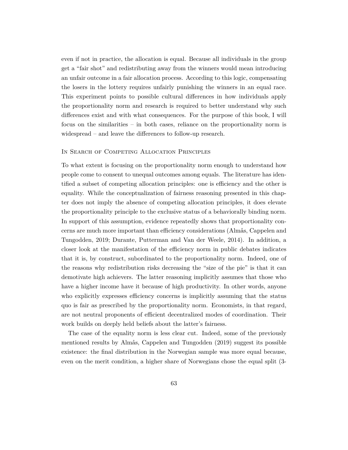even if not in practice, the allocation is equal. Because all individuals in the group get a "fair shot" and redistributing away from the winners would mean introducing an unfair outcome in a fair allocation process. According to this logic, compensating the losers in the lottery requires unfairly punishing the winners in an equal race. This experiment points to possible cultural diferences in how individuals apply the proportionality norm and research is required to better understand why such diferences exist and with what consequences. For the purpose of this book, I will focus on the similarities – in both cases, reliance on the proportionality norm is widespread – and leave the diferences to follow-up research.

#### IN SEARCH OF COMPETING ALLOCATION PRINCIPLES

To what extent is focusing on the proportionality norm enough to understand how people come to consent to unequal outcomes among equals. The literature has identifed a subset of competing allocation principles: one is effciency and the other is equality. While the conceptualization of fairness reasoning presented in this chapter does not imply the absence of competing allocation principles, it does elevate the proportionality principle to the exclusive status of a behaviorally binding norm. In support of this assumption, evidence repeatedly shows that proportionality concerns are much more important than effciency considerations [\(Almås, Cappelen and](#page-34-2) [Tungodden](#page-34-2), [2019;](#page-34-2) [Durante, Putterman and Van der Weele](#page-37-2), [2014\)](#page-37-2). In addition, a closer look at the manifestation of the efficiency norm in public debates indicates that it is, by construct, subordinated to the proportionality norm. Indeed, one of the reasons why redistribution risks decreasing the "size of the pie" is that it can demotivate high achievers. The latter reasoning implicitly assumes that those who have a higher income have it because of high productivity. In other words, anyone who explicitly expresses efficiency concerns is implicitly assuming that the status quo is fair as prescribed by the proportionality norm. Economists, in that regard, are not neutral proponents of effcient decentralized modes of coordination. Their work builds on deeply held beliefs about the latter's fairness.

The case of the equality norm is less clear cut. Indeed, some of the previously mentioned results by [Almås, Cappelen and Tungodden](#page-34-2) ([2019\)](#page-34-2) suggest its possible existence: the fnal distribution in the Norwegian sample was more equal because, even on the merit condition, a higher share of Norwegians chose the equal split (3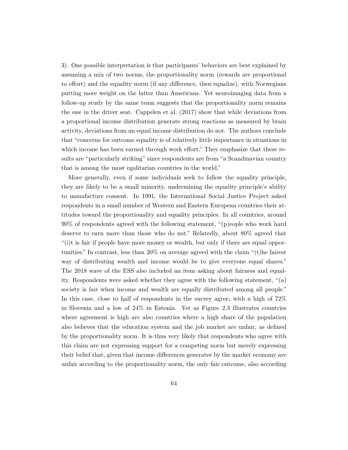3). One possible interpretation is that participants' behaviors are best explained by assuming a mix of two norms, the proportionality norm (rewards are proportional to efort) and the equality norm (if any diference, then equalize), with Norwegians putting more weight on the latter than Americans. Yet neuroimaging data from a follow-up study by the same team suggests that the proportionality norm remains the one in the driver seat. [Cappelen et al.](#page-36-3) ([2017\)](#page-36-3) show that while deviations from a proportional income distribution generate strong reactions as measured by brain activity, deviations from an equal income distribution do not. The authors conclude that "concerns for outcome equality is of relatively little importance in situations in which income has been earned through work effort." They emphasize that these results are "particularly striking" since respondents are from "a Scandinavian country that is among the most egalitarian countries in the world."

More generally, even if some individuals seek to follow the equality principle, they are likely to be a small minority, undermining the equality principle's ability to manufacture consent. In 1991, the International Social Justice Project asked respondents in a small number of Western and Eastern European countries their attitudes toward the proportionality and equality principles. In all countries, around 90% of respondents agreed with the following statement, "(p)eople who work hard deserve to earn more than those who do not." Relatedly, about 80% agreed that "(i)t is fair if people have more money or wealth, but only if there are equal opportunities." In contrast, less than 20% on average agreed with the claim "(t)he fairest way of distributing wealth and income would be to give everyone equal shares." The 2018 wave of the ESS also included an item asking about fairness and equality. Respondents were asked whether they agree with the following statement, "(a) society is fair when income and wealth are equally distributed among all people." In this case, close to half of respondents in the survey agree, with a high of 72% in Slovenia and a low of 24% in Estonia. Yet as Figure [2.3](#page-24-0) illustrates countries where agreement is high are also countries where a high share of the population also believes that the education system and the job market are unfair, as defned by the proportionality norm. It is thus very likely that respondents who agree with this claim are not expressing support for a competing norm but merely expressing their belief that, given that income diferences generates by the market economy are unfair according to the proportionality norm, the only fair outcome, also according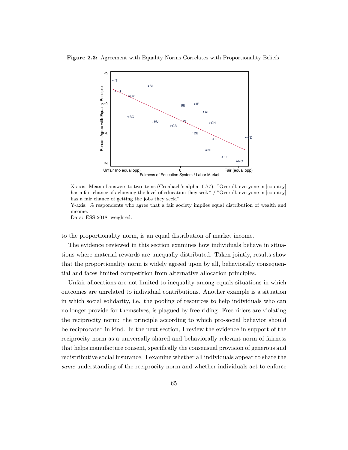<span id="page-24-0"></span>



X-axis: Mean of answers to two items (Cronbach's alpha: 0.77). "Overall, everyone in [country] has a fair chance of achieving the level of education they seek." / "Overall, everyone in [country] has a fair chance of getting the jobs they seek."

Y-axis: % respondents who agree that a fair society implies equal distribution of wealth and income.

Data: ESS 2018, weighted.

to the proportionality norm, is an equal distribution of market income.

The evidence reviewed in this section examines how individuals behave in situations where material rewards are unequally distributed. Taken jointly, results show that the proportionality norm is widely agreed upon by all, behaviorally consequential and faces limited competition from alternative allocation principles.

Unfair allocations are not limited to inequality-among-equals situations in which outcomes are unrelated to individual contributions. Another example is a situation in which social solidarity, i.e. the pooling of resources to help individuals who can no longer provide for themselves, is plagued by free riding. Free riders are violating the reciprocity norm: the principle according to which pro-social behavior should be reciprocated in kind. In the next section, I review the evidence in support of the reciprocity norm as a universally shared and behaviorally relevant norm of fairness that helps manufacture consent, specifcally the consensual provision of generous and redistributive social insurance. I examine whether all individuals appear to share the *same* understanding of the reciprocity norm and whether individuals act to enforce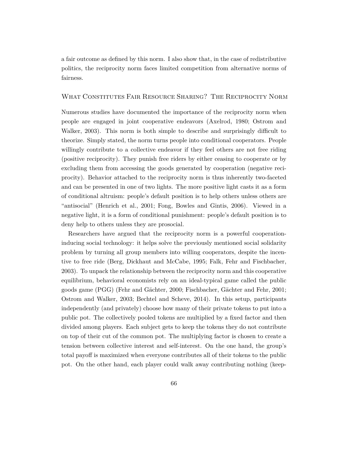a fair outcome as defned by this norm. I also show that, in the case of redistributive politics, the reciprocity norm faces limited competition from alternative norms of fairness.

#### What Constitutes Fair Resource Sharing? The Reciprocity Norm

Numerous studies have documented the importance of the reciprocity norm when people are engaged in joint cooperative endeavors ([Axelrod,](#page-34-3) [1980](#page-34-3); [Ostrom and](#page-42-0) [Walker](#page-42-0), [2003\)](#page-42-0). This norm is both simple to describe and surprisingly diffcult to theorize. Simply stated, the norm turns people into conditional cooperators. People willingly contribute to a collective endeavor if they feel others are not free riding (positive reciprocity). They punish free riders by either ceasing to cooperate or by excluding them from accessing the goods generated by cooperation (negative reciprocity). Behavior attached to the reciprocity norm is thus inherently two-faceted and can be presented in one of two lights. The more positive light casts it as a form of conditional altruism: people's default position is to help others unless others are "antisocial" [\(Henrich et al.](#page-39-2), [2001;](#page-39-2) [Fong, Bowles and Gintis,](#page-38-6) [2006\)](#page-38-6). Viewed in a negative light, it is a form of conditional punishment: people's default position is to deny help to others unless they are prosocial.

Researchers have argued that the reciprocity norm is a powerful cooperationinducing social technology: it helps solve the previously mentioned social solidarity problem by turning all group members into willing cooperators, despite the incentive to free ride ([Berg, Dickhaut and McCabe](#page-35-6), [1995](#page-35-6); [Falk, Fehr and Fischbacher,](#page-37-3) [2003\)](#page-37-3). To unpack the relationship between the reciprocity norm and this cooperative equilibrium, behavioral economists rely on an ideal-typical game called the public goods game (PGG) ([Fehr and Gächter,](#page-37-4) [2000;](#page-37-4) [Fischbacher, Gächter and Fehr,](#page-37-5) [2001;](#page-37-5) [Ostrom and Walker,](#page-42-0) [2003;](#page-42-0) [Bechtel and Scheve,](#page-35-7) [2014\)](#page-35-7). In this setup, participants independently (and privately) choose how many of their private tokens to put into a public pot. The collectively pooled tokens are multiplied by a fxed factor and then divided among players. Each subject gets to keep the tokens they do not contribute on top of their cut of the common pot. The multiplying factor is chosen to create a tension between collective interest and self-interest. On the one hand, the group's total payoff is maximized when everyone contributes all of their tokens to the public pot. On the other hand, each player could walk away contributing nothing (keep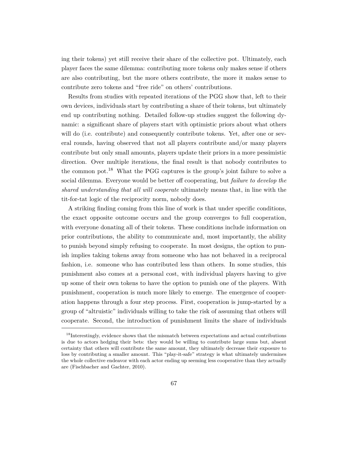ing their tokens) yet still receive their share of the collective pot. Ultimately, each player faces the same dilemma: contributing more tokens only makes sense if others are also contributing, but the more others contribute, the more it makes sense to contribute zero tokens and "free ride" on others' contributions.

Results from studies with repeated iterations of the PGG show that, left to their own devices, individuals start by contributing a share of their tokens, but ultimately end up contributing nothing. Detailed follow-up studies suggest the following dynamic: a signifcant share of players start with optimistic priors about what others will do (i.e. contribute) and consequently contribute tokens. Yet, after one or several rounds, having observed that not all players contribute and/or many players contribute but only small amounts, players update their priors in a more pessimistic direction. Over multiple iterations, the fnal result is that nobody contributes to the common pot.<sup>18</sup> What the PGG captures is the group's joint failure to solve a social dilemma. Everyone would be better of cooperating, but *failure to develop the shared understanding that all will cooperate* ultimately means that, in line with the tit-for-tat logic of the reciprocity norm, nobody does.

A striking fnding coming from this line of work is that under specifc conditions, the exact opposite outcome occurs and the group converges to full cooperation, with everyone donating all of their tokens. These conditions include information on prior contributions, the ability to communicate and, most importantly, the ability to punish beyond simply refusing to cooperate. In most designs, the option to punish implies taking tokens away from someone who has not behaved in a reciprocal fashion, i.e. someone who has contributed less than others. In some studies, this punishment also comes at a personal cost, with individual players having to give up some of their own tokens to have the option to punish one of the players. With punishment, cooperation is much more likely to emerge. The emergence of cooperation happens through a four step process. First, cooperation is jump-started by a group of "altruistic" individuals willing to take the risk of assuming that others will cooperate. Second, the introduction of punishment limits the share of individuals

<sup>&</sup>lt;sup>18</sup>Interestingly, evidence shows that the mismatch between expectations and actual contributions is due to actors hedging their bets: they would be willing to contribute large sums but, absent certainty that others will contribute the same amount, they ultimately decrease their exposure to loss by contributing a smaller amount. This "play-it-safe" strategy is what ultimately undermines the whole collective endeavor with each actor ending up seeming less cooperative than they actually are ([Fischbacher and Gachter](#page-37-6), [2010](#page-37-6)).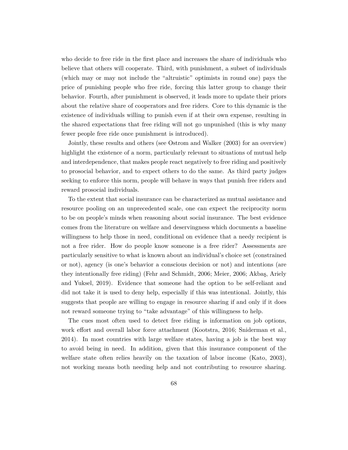who decide to free ride in the frst place and increases the share of individuals who believe that others will cooperate. Third, with punishment, a subset of individuals (which may or may not include the "altruistic" optimists in round one) pays the price of punishing people who free ride, forcing this latter group to change their behavior. Fourth, after punishment is observed, it leads more to update their priors about the relative share of cooperators and free riders. Core to this dynamic is the existence of individuals willing to punish even if at their own expense, resulting in the shared expectations that free riding will not go unpunished (this is why many fewer people free ride once punishment is introduced).

Jointly, these results and others (see [Ostrom and Walker](#page-42-0) ([2003](#page-42-0)) for an overview) highlight the existence of a norm, particularly relevant to situations of mutual help and interdependence, that makes people react negatively to free riding and positively to prosocial behavior, and to expect others to do the same. As third party judges seeking to enforce this norm, people will behave in ways that punish free riders and reward prosocial individuals.

To the extent that social insurance can be characterized as mutual assistance and resource pooling on an unprecedented scale, one can expect the reciprocity norm to be on people's minds when reasoning about social insurance. The best evidence comes from the literature on welfare and deservingness which documents a baseline willingness to help those in need, conditional on evidence that a needy recipient is not a free rider. How do people know someone is a free rider? Assessments are particularly sensitive to what is known about an individual's choice set (constrained or not), agency (is one's behavior a conscious decision or not) and intentions (are they intentionally free riding) [\(Fehr and Schmidt,](#page-37-7) [2006](#page-37-7); [Meier,](#page-41-3) [2006;](#page-41-3) [Akbaş, Ariely](#page-34-4) [and Yuksel,](#page-34-4) [2019](#page-34-4)). Evidence that someone had the option to be self-reliant and did not take it is used to deny help, especially if this was intentional. Jointly, this suggests that people are willing to engage in resource sharing if and only if it does not reward someone trying to "take advantage" of this willingness to help.

The cues most often used to detect free riding is information on job options, work efort and overall labor force attachment ([Kootstra,](#page-40-8) [2016](#page-40-8); [Sniderman et al.,](#page-43-3) [2014\)](#page-43-3). In most countries with large welfare states, having a job is the best way to avoid being in need. In addition, given that this insurance component of the welfare state often relies heavily on the taxation of labor income ([Kato](#page-40-9), [2003\)](#page-40-9), not working means both needing help and not contributing to resource sharing.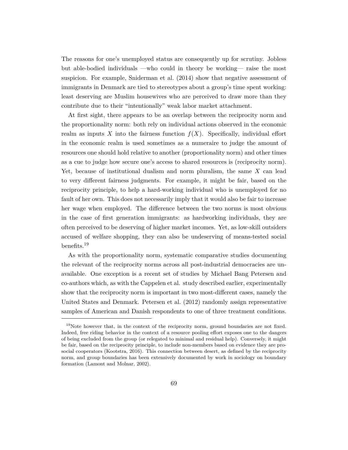The reasons for one's unemployed status are consequently up for scrutiny. Jobless but able-bodied individuals —who could in theory be working— raise the most suspicion. For example, [Sniderman et al.](#page-43-3) ([2014](#page-43-3)) show that negative assessment of immigrants in Denmark are tied to stereotypes about a group's time spent working: least deserving are Muslim housewives who are perceived to draw more than they contribute due to their "intentionally" weak labor market attachment.

At frst sight, there appears to be an overlap between the reciprocity norm and the proportionality norm: both rely on individual actions observed in the economic realm as inputs X into the fairness function  $f(X)$ . Specifically, individual effort in the economic realm is used sometimes as a numeraire to judge the amount of resources one should hold relative to another (proportionality norm) and other times as a cue to judge how secure one's access to shared resources is (reciprocity norm). Yet, because of institutional dualism and norm pluralism, the same *X* can lead to very diferent fairness judgments. For example, it might be fair, based on the reciprocity principle, to help a hard-working individual who is unemployed for no fault of her own. This does not necessarily imply that it would also be fair to increase her wage when employed. The diference between the two norms is most obvious in the case of frst generation immigrants: as hardworking individuals, they are often perceived to be deserving of higher market incomes. Yet, as low-skill outsiders accused of welfare shopping, they can also be undeserving of means-tested social benefits.<sup>19</sup>

As with the proportionality norm, systematic comparative studies documenting the relevant of the reciprocity norms across all post-industrial democracies are unavailable. One exception is a recent set of studies by Michael Bang Petersen and co-authors which, as with the Cappelen et al. study described earlier, experimentally show that the reciprocity norm is important in two most-diferent cases, namely the United States and Denmark. [Petersen et al.](#page-42-6) ([2012](#page-42-6)) randomly assign representative samples of American and Danish respondents to one of three treatment conditions.

 $19$ Note however that, in the context of the reciprocity norm, ground boundaries are not fixed. Indeed, free riding behavior in the context of a resource pooling efort exposes one to the dangers of being excluded from the group (or relegated to minimal and residual help). Conversely, it might be fair, based on the reciprocity principle, to include non-members based on evidence they are prosocial cooperators ([Kootstra](#page-40-8), [2016](#page-40-8)). This connection between desert, as defned by the reciprocity norm, and group boundaries has been extensively documented by work in sociology on boundary formation ([Lamont and Molnar,](#page-40-0) [2002\)](#page-40-0).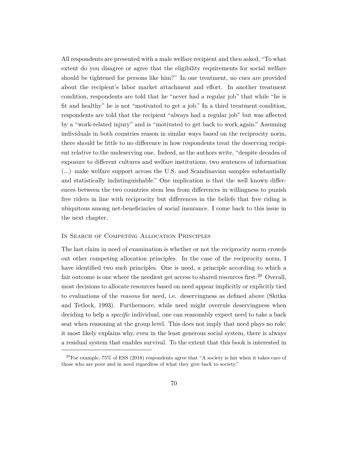All respondents are presented with a male welfare recipient and then asked, "To what extent do you disagree or agree that the eligibility requirements for social welfare should be tightened for persons like him?" In one treatment, no cues are provided about the recipient's labor market attachment and efort. In another treatment condition, respondents are told that he "never had a regular job" that while "he is ft and healthy" he is not "motivated to get a job." In a third treatment condition, respondents are told that the recipient "always had a regular job" but was afected by a "work-related injury" and is "motivated to get back to work again." Assuming individuals in both countries reason in similar ways based on the reciprocity norm, there should be little to no diference in how respondents treat the deserving recipient relative to the undeserving one. Indeed, as the authors write, "despite decades of exposure to diferent cultures and welfare institutions, two sentences of information (...) make welfare support across the U.S. and Scandinavian samples substantially and statistically indistinguishable." One implication is that the well known diferences between the two countries stem less from diferences in willingness to punish free riders in line with reciprocity but diferences in the beliefs that free riding is ubiquitous among net-benefciaries of social insurance. I come back to this issue in the next chapter.

#### In Search of Competing Allocation Principles

The last claim in need of examination is whether or not the reciprocity norm crowds out other competing allocation principles. In the case of the reciprocity norm, I have identifed two such principles. One is need, a principle according to which a fair outcome is one where the neediest get access to shared resources first.<sup>20</sup> Overall, most decisions to allocate resources based on need appear implicitly or explicitly tied to evaluations of the *reasons* for need, i.e. deservingness as defned above ([Skitka](#page-43-4) [and Tetlock,](#page-43-4) [1993](#page-43-4)). Furthermore, while need might overrule deservingness when deciding to help a *specifc* individual, one can reasonably expect need to take a back seat when reasoning at the group level. This does not imply that need plays no role: it most likely explains why, even in the least generous social system, there is always a residual system that enables survival. To the extent that this book is interested in

 $^{20}$ For example, 75% of ESS (2018) respondents agree that "A society is fair when it takes care of those who are poor and in need regardless of what they give back to society."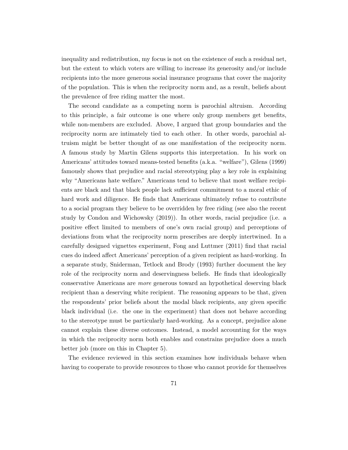inequality and redistribution, my focus is not on the existence of such a residual net, but the extent to which voters are willing to increase its generosity and/or include recipients into the more generous social insurance programs that cover the majority of the population. This is when the reciprocity norm and, as a result, beliefs about the prevalence of free riding matter the most.

The second candidate as a competing norm is parochial altruism. According to this principle, a fair outcome is one where only group members get benefts, while non-members are excluded. Above, I argued that group boundaries and the reciprocity norm are intimately tied to each other. In other words, parochial altruism might be better thought of as one manifestation of the reciprocity norm. A famous study by Martin Gilens supports this interpretation. In his work on Americans' attitudes toward means-tested benefts (a.k.a. "welfare"), [Gilens](#page-38-7) ([1999\)](#page-38-7) famously shows that prejudice and racial stereotyping play a key role in explaining why "Americans hate welfare." Americans tend to believe that most welfare recipients are black and that black people lack sufficient commitment to a moral ethic of hard work and diligence. He fnds that Americans ultimately refuse to contribute to a social program they believe to be overridden by free riding (see also the recent study by [Condon and Wichowsky](#page-36-4) ([2019\)](#page-36-4)). In other words, racial prejudice (i.e. a positive efect limited to members of one's own racial group) and perceptions of deviations from what the reciprocity norm prescribes are deeply intertwined. In a carefully designed vignettes experiment, [Fong and Luttmer](#page-38-8) [\(2011](#page-38-8)) fnd that racial cues do indeed afect Americans' perception of a given recipient as hard-working. In a separate study, [Sniderman, Tetlock and Brody](#page-43-5) ([1993\)](#page-43-5) further document the key role of the reciprocity norm and deservingness beliefs. He fnds that ideologically conservative Americans are *more* generous toward an hypothetical deserving black recipient than a deserving white recipient. The reasoning appears to be that, given the respondents' prior beliefs about the modal black recipients, any given specifc black individual (i.e. the one in the experiment) that does not behave according to the stereotype must be particularly hard-working. As a concept, prejudice alone cannot explain these diverse outcomes. Instead, a model accounting for the ways in which the reciprocity norm both enables and constrains prejudice does a much better job (more on this in Chapter 5).

The evidence reviewed in this section examines how individuals behave when having to cooperate to provide resources to those who cannot provide for themselves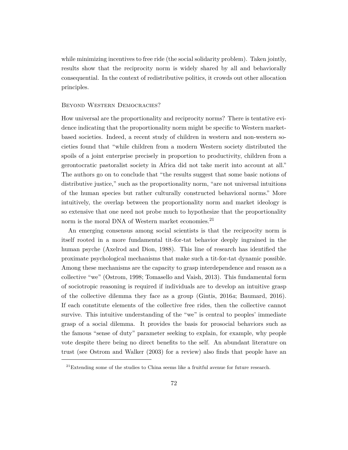while minimizing incentives to free ride (the social solidarity problem). Taken jointly, results show that the reciprocity norm is widely shared by all and behaviorally consequential. In the context of redistributive politics, it crowds out other allocation principles.

#### Beyond Western Democracies?

How universal are the proportionality and reciprocity norms? There is tentative evidence indicating that the proportionality norm might be specifc to Western marketbased societies. Indeed, a recent study of children in western and non-western societies found that "while children from a modern Western society distributed the spoils of a joint enterprise precisely in proportion to productivity, children from a gerontocratic pastoralist society in Africa did not take merit into account at all." The authors go on to conclude that "the results suggest that some basic notions of distributive justice," such as the proportionality norm, "are not universal intuitions of the human species but rather culturally constructed behavioral norms." More intuitively, the overlap between the proportionality norm and market ideology is so extensive that one need not probe much to hypothesize that the proportionality norm is the moral DNA of Western market economies.<sup>21</sup>

An emerging consensus among social scientists is that the reciprocity norm is itself rooted in a more fundamental tit-for-tat behavior deeply ingrained in the human psyche [\(Axelrod and Dion,](#page-35-8) [1988\)](#page-35-8). This line of research has identifed the proximate psychological mechanisms that make such a tit-for-tat dynamic possible. Among these mechanisms are the capacity to grasp interdependence and reason as a collective "we" [\(Ostrom](#page-41-1), [1998](#page-41-1); [Tomasello and Vaish](#page-43-6), [2013](#page-43-6)). This fundamental form of sociotropic reasoning is required if individuals are to develop an intuitive grasp of the collective dilemma they face as a group ([Gintis,](#page-38-9) [2016](#page-38-9)*a*; [Baumard,](#page-35-3) [2016\)](#page-35-3). If each constitute elements of the collective free rides, then the collective cannot survive. This intuitive understanding of the "we" is central to peoples' immediate grasp of a social dilemma. It provides the basis for prosocial behaviors such as the famous "sense of duty" parameter seeking to explain, for example, why people vote despite there being no direct benefts to the self. An abundant literature on trust (see [Ostrom and Walker](#page-42-0) ([2003\)](#page-42-0) for a review) also fnds that people have an

 $21$ Extending some of the studies to China seems like a fruitful avenue for future research.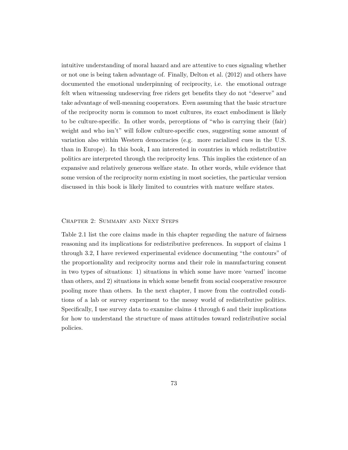intuitive understanding of moral hazard and are attentive to cues signaling whether or not one is being taken advantage of. Finally, [Delton et al.](#page-37-8) [\(2012](#page-37-8)) and others have documented the emotional underpinning of reciprocity, i.e. the emotional outrage felt when witnessing undeserving free riders get benefts they do not "deserve" and take advantage of well-meaning cooperators. Even assuming that the basic structure of the reciprocity norm is common to most cultures, its exact embodiment is likely to be culture-specifc. In other words, perceptions of "who is carrying their (fair) weight and who isn't" will follow culture-specific cues, suggesting some amount of variation also within Western democracies (e.g. more racialized cues in the U.S. than in Europe). In this book, I am interested in countries in which redistributive politics are interpreted through the reciprocity lens. This implies the existence of an expansive and relatively generous welfare state. In other words, while evidence that some version of the reciprocity norm existing in most societies, the particular version discussed in this book is likely limited to countries with mature welfare states.

#### Chapter 2: Summary and Next Steps

Table [2.1](#page-33-0) list the core claims made in this chapter regarding the nature of fairness reasoning and its implications for redistributive preferences. In support of claims 1 through 3.2, I have reviewed experimental evidence documenting "the contours" of the proportionality and reciprocity norms and their role in manufacturing consent in two types of situations: 1) situations in which some have more 'earned' income than others, and 2) situations in which some beneft from social cooperative resource pooling more than others. In the next chapter, I move from the controlled conditions of a lab or survey experiment to the messy world of redistributive politics. Specifcally, I use survey data to examine claims 4 through 6 and their implications for how to understand the structure of mass attitudes toward redistributive social policies.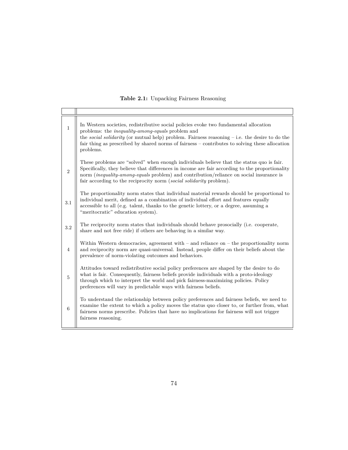<span id="page-33-0"></span>

| $\mathbf{1}$   | In Western societies, redistributive social policies evoke two fundamental allocation<br>problems: the <i>inequality-among-equals</i> problem and<br>the <i>social solidarity</i> (or mutual help) problem. Fairness reasoning $-$ i.e. the desire to do the<br>fair thing as prescribed by shared norms of fairness – contributes to solving these allocation<br>problems. |
|----------------|-----------------------------------------------------------------------------------------------------------------------------------------------------------------------------------------------------------------------------------------------------------------------------------------------------------------------------------------------------------------------------|
| $\sqrt{2}$     | These problems are "solved" when enough individuals believe that the status quo is fair.<br>Specifically, they believe that differences in income are fair according to the proportionality<br>norm <i>(inequality-among-equals problem)</i> and contribution/reliance on social insurance is<br>fair according to the reciprocity norm (social solidarity problem).        |
| 3.1            | The proportionality norm states that individual material rewards should be proportional to<br>individual merit, defined as a combination of individual effort and features equally<br>accessible to all (e.g. talent, thanks to the genetic lottery, or a degree, assuming a<br>"meritocratic" education system).                                                           |
| $3.2\,$        | The reciprocity norm states that individuals should behave prosocially (i.e. cooperate,<br>share and not free ride) if others are behaving in a similar way.                                                                                                                                                                                                                |
| $\overline{4}$ | Within Western democracies, agreement with $-$ and reliance on $-$ the proportionality norm<br>and reciprocity norm are quasi-universal. Instead, people differ on their beliefs about the<br>prevalence of norm-violating outcomes and behaviors.                                                                                                                          |
| $\overline{5}$ | Attitudes toward redistributive social policy preferences are shaped by the desire to do<br>what is fair. Consequently, fairness beliefs provide individuals with a proto-ideology<br>through which to interpret the world and pick fairness-maximizing policies. Policy<br>preferences will vary in predictable ways with fairness beliefs.                                |
| 6              | To understand the relationship between policy preferences and fairness beliefs, we need to<br>examine the extent to which a policy moves the status quo closer to, or further from, what<br>fairness norms prescribe. Policies that have no implications for fairness will not trigger<br>fairness reasoning.                                                               |

### **Table 2.1:** Unpacking Fairness Reasoning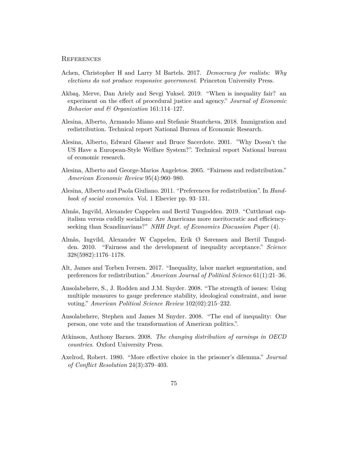#### **REFERENCES**

- Achen, Christopher H and Larry M Bartels. 2017. *Democracy for realists: Why elections do not produce responsive government*. Princeton University Press.
- <span id="page-34-4"></span>Akbaş, Merve, Dan Ariely and Sevgi Yuksel. 2019. "When is inequality fair? an experiment on the efect of procedural justice and agency." *Journal of Economic Behavior and & Organization* 161:114–127.
- Alesina, Alberto, Armando Miano and Stefanie Stantcheva. 2018. Immigration and redistribution. Technical report National Bureau of Economic Research.
- Alesina, Alberto, Edward Glaeser and Bruce Sacerdote. 2001. "Why Doesn't the US Have a European-Style Welfare System?". Technical report National bureau of economic research.
- <span id="page-34-0"></span>Alesina, Alberto and George-Marios Angeletos. 2005. "Fairness and redistribution." *American Economic Review* 95(4):960–980.
- Alesina, Alberto and Paola Giuliano. 2011. "Preferences for redistribution". In *Handbook of social economics*. Vol. 1 Elsevier pp. 93–131.
- <span id="page-34-2"></span>Almås, Ingvild, Alexander Cappelen and Bertil Tungodden. 2019. "Cutthroat capitalism versus cuddly socialism: Are Americans more meritocratic and effciencyseeking than Scandinavians?" *NHH Dept. of Economics Discussion Paper* (4).
- <span id="page-34-1"></span>Almås, Ingvild, Alexander W Cappelen, Erik Ø Sørensen and Bertil Tungodden. 2010. "Fairness and the development of inequality acceptance." *Science* 328(5982):1176–1178.
- Alt, James and Torben Iversen. 2017. "Inequality, labor market segmentation, and preferences for redistribution." *American Journal of Political Science* 61(1):21–36.
- Ansolabehere, S., J. Rodden and J.M. Snyder. 2008. "The strength of issues: Using multiple measures to gauge preference stability, ideological constraint, and issue voting." *American Political Science Review* 102(02):215–232.
- Ansolabehere, Stephen and James M Snyder. 2008. "The end of inequality: One person, one vote and the transformation of American politics.".
- Atkinson, Anthony Barnes. 2008. *The changing distribution of earnings in OECD countries*. Oxford University Press.
- <span id="page-34-3"></span>Axelrod, Robert. 1980. "More efective choice in the prisoner's dilemma." *Journal of Confict Resolution* 24(3):379–403.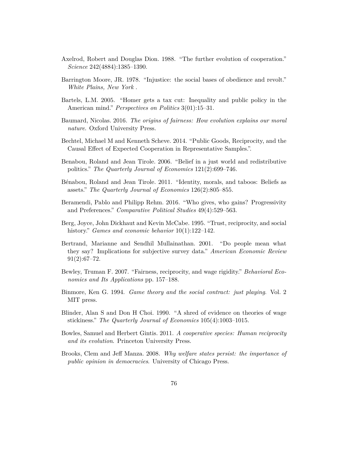- <span id="page-35-8"></span>Axelrod, Robert and Douglas Dion. 1988. "The further evolution of cooperation." *Science* 242(4884):1385–1390.
- Barrington Moore, JR. 1978. "Injustice: the social bases of obedience and revolt." *White Plains, New York* .
- Bartels, L.M. 2005. "Homer gets a tax cut: Inequality and public policy in the American mind." *Perspectives on Politics* 3(01):15–31.
- <span id="page-35-3"></span>Baumard, Nicolas. 2016. *The origins of fairness: How evolution explains our moral nature*. Oxford University Press.
- <span id="page-35-7"></span>Bechtel, Michael M and Kenneth Scheve. 2014. "Public Goods, Reciprocity, and the Causal Efect of Expected Cooperation in Representative Samples.".
- <span id="page-35-5"></span>Benabou, Roland and Jean Tirole. 2006. "Belief in a just world and redistributive politics." *The Quarterly Journal of Economics* 121(2):699–746.
- Bénabou, Roland and Jean Tirole. 2011. "Identity, morals, and taboos: Beliefs as assets." *The Quarterly Journal of Economics* 126(2):805–855.
- Beramendi, Pablo and Philipp Rehm. 2016. "Who gives, who gains? Progressivity and Preferences." *Comparative Political Studies* 49(4):529–563.
- <span id="page-35-6"></span>Berg, Joyce, John Dickhaut and Kevin McCabe. 1995. "Trust, reciprocity, and social history." *Games and economic behavior* 10(1):122–142.
- Bertrand, Marianne and Sendhil Mullainathan. 2001. "Do people mean what they say? Implications for subjective survey data." *American Economic Review*  $91(2):67-72.$
- <span id="page-35-1"></span>Bewley, Truman F. 2007. "Fairness, reciprocity, and wage rigidity." *Behavioral Economics and Its Applications* pp. 157–188.
- <span id="page-35-2"></span>Binmore, Ken G. 1994. *Game theory and the social contract: just playing*. Vol. 2 MIT press.
- <span id="page-35-0"></span>Blinder, Alan S and Don H Choi. 1990. "A shred of evidence on theories of wage stickiness." *The Quarterly Journal of Economics* 105(4):1003–1015.
- <span id="page-35-4"></span>Bowles, Samuel and Herbert Gintis. 2011. *A cooperative species: Human reciprocity and its evolution*. Princeton University Press.
- Brooks, Clem and Jef Manza. 2008. *Why welfare states persist: the importance of public opinion in democracies*. University of Chicago Press.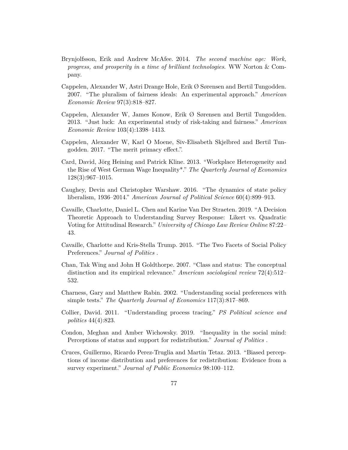- Brynjolfsson, Erik and Andrew McAfee. 2014. *The second machine age: Work, progress, and prosperity in a time of brilliant technologies*. WW Norton & Company.
- <span id="page-36-1"></span>Cappelen, Alexander W, Astri Drange Hole, Erik Ø Sørensen and Bertil Tungodden. 2007. "The pluralism of fairness ideals: An experimental approach." *American Economic Review* 97(3):818–827.
- <span id="page-36-2"></span>Cappelen, Alexander W, James Konow, Erik Ø Sørensen and Bertil Tungodden. 2013. "Just luck: An experimental study of risk-taking and fairness." *American Economic Review* 103(4):1398–1413.
- <span id="page-36-3"></span>Cappelen, Alexander W, Karl O Moene, Siv-Elisabeth Skjelbred and Bertil Tungodden. 2017. "The merit primacy efect.".
- <span id="page-36-0"></span>Card, David, Jörg Heining and Patrick Kline. 2013. "Workplace Heterogeneity and the Rise of West German Wage Inequality\*." *The Quarterly Journal of Economics* 128(3):967–1015.
- Caughey, Devin and Christopher Warshaw. 2016. "The dynamics of state policy liberalism, 1936–2014." *American Journal of Political Science* 60(4):899–913.
- Cavaille, Charlotte, Daniel L. Chen and Karine Van Der Straeten. 2019. "A Decision Theoretic Approach to Understanding Survey Response: Likert vs. Quadratic Voting for Attitudinal Research." *University of Chicago Law Review Online* 87:22– 43.
- Cavaille, Charlotte and Kris-Stella Trump. 2015. "The Two Facets of Social Policy Preferences." *Journal of Politics* .
- Chan, Tak Wing and John H Goldthorpe. 2007. "Class and status: The conceptual distinction and its empirical relevance." *American sociological review* 72(4):512– 532.
- Charness, Gary and Matthew Rabin. 2002. "Understanding social preferences with simple tests." *The Quarterly Journal of Economics* 117(3):817–869.
- Collier, David. 2011. "Understanding process tracing." *PS Political science and politics* 44(4):823.
- <span id="page-36-4"></span>Condon, Meghan and Amber Wichowsky. 2019. "Inequality in the social mind: Perceptions of status and support for redistribution." *Journal of Politics* .
- Cruces, Guillermo, Ricardo Perez-Truglia and Martin Tetaz. 2013. "Biased perceptions of income distribution and preferences for redistribution: Evidence from a survey experiment." *Journal of Public Economics* 98:100–112.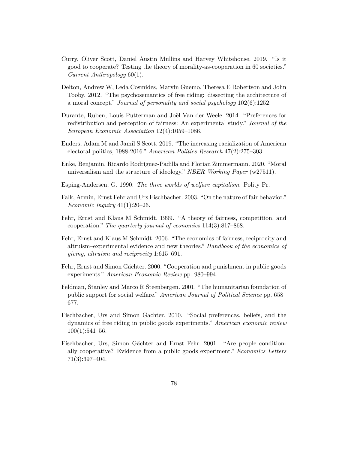- <span id="page-37-0"></span>Curry, Oliver Scott, Daniel Austin Mullins and Harvey Whitehouse. 2019. "Is it good to cooperate? Testing the theory of morality-as-cooperation in 60 societies." *Current Anthropology* 60(1).
- <span id="page-37-8"></span>Delton, Andrew W, Leda Cosmides, Marvin Guemo, Theresa E Robertson and John Tooby. 2012. "The psychosemantics of free riding: dissecting the architecture of a moral concept." *Journal of personality and social psychology* 102(6):1252.
- <span id="page-37-2"></span>Durante, Ruben, Louis Putterman and Joël Van der Weele. 2014. "Preferences for redistribution and perception of fairness: An experimental study." *Journal of the European Economic Association* 12(4):1059–1086.
- Enders, Adam M and Jamil S Scott. 2019. "The increasing racialization of American electoral politics, 1988-2016." *American Politics Research* 47(2):275–303.
- Enke, Benjamin, Ricardo Rodríguez-Padilla and Florian Zimmermann. 2020. "Moral universalism and the structure of ideology." *NBER Working Paper* (w27511).
- <span id="page-37-1"></span>Esping-Andersen, G. 1990. *The three worlds of welfare capitalism*. Polity Pr.
- <span id="page-37-3"></span>Falk, Armin, Ernst Fehr and Urs Fischbacher. 2003. "On the nature of fair behavior." *Economic inquiry* 41(1):20–26.
- Fehr, Ernst and Klaus M Schmidt. 1999. "A theory of fairness, competition, and cooperation." *The quarterly journal of economics* 114(3):817–868.
- <span id="page-37-7"></span>Fehr, Ernst and Klaus M Schmidt. 2006. "The economics of fairness, reciprocity and altruism–experimental evidence and new theories." *Handbook of the economics of giving, altruism and reciprocity* 1:615–691.
- <span id="page-37-4"></span>Fehr, Ernst and Simon Gächter. 2000. "Cooperation and punishment in public goods experiments." *American Economic Review* pp. 980–994.
- Feldman, Stanley and Marco R Steenbergen. 2001. "The humanitarian foundation of public support for social welfare." *American Journal of Political Science* pp. 658– 677.
- <span id="page-37-6"></span>Fischbacher, Urs and Simon Gachter. 2010. "Social preferences, beliefs, and the dynamics of free riding in public goods experiments." *American economic review*  $100(1):541-56.$
- <span id="page-37-5"></span>Fischbacher, Urs, Simon Gächter and Ernst Fehr. 2001. "Are people conditionally cooperative? Evidence from a public goods experiment." *Economics Letters* 71(3):397–404.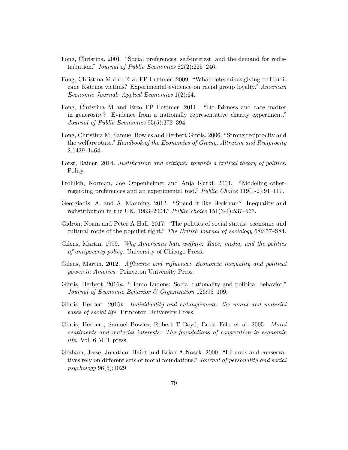- <span id="page-38-0"></span>Fong, Christina. 2001. "Social preferences, self-interest, and the demand for redistribution." *Journal of Public Economics* 82(2):225–246.
- Fong, Christina M and Erzo FP Luttmer. 2009. "What determines giving to Hurricane Katrina victims? Experimental evidence on racial group loyalty." *American Economic Journal: Applied Economics* 1(2):64.
- <span id="page-38-8"></span>Fong, Christina M and Erzo FP Luttmer. 2011. "Do fairness and race matter in generosity? Evidence from a nationally representative charity experiment." *Journal of Public Economics* 95(5):372–394.
- <span id="page-38-6"></span>Fong, Christina M, Samuel Bowles and Herbert Gintis. 2006. "Strong reciprocity and the welfare state." *Handbook of the Economics of Giving, Altruism and Reciprocity* 2:1439–1464.
- <span id="page-38-3"></span>Forst, Rainer. 2014. *Justifcation and critique: towards a critical theory of politics*. Polity.
- <span id="page-38-5"></span>Frohlich, Norman, Joe Oppenheimer and Anja Kurki. 2004. "Modeling otherregarding preferences and an experimental test." *Public Choice* 119(1-2):91–117.
- Georgiadis, A. and A. Manning. 2012. "Spend it like Beckham? Inequality and redistribution in the UK, 1983–2004." *Public choice* 151(3-4):537–563.
- Gidron, Noam and Peter A Hall. 2017. "The politics of social status: economic and cultural roots of the populist right." *The British journal of sociology* 68:S57–S84.
- <span id="page-38-7"></span>Gilens, Martin. 1999. *Why Americans hate welfare: Race, media, and the politics of antipoverty policy*. University of Chicago Press.
- Gilens, Martin. 2012. *Afuence and infuence: Economic inequality and political power in America*. Princeton University Press.
- <span id="page-38-9"></span>Gintis, Herbert. 2016*a*. "Homo Ludens: Social rationality and political behavior." *Journal of Economic Behavior & Organization* 126:95–109.
- <span id="page-38-4"></span>Gintis, Herbert. 2016*b*. *Individuality and entanglement: the moral and material bases of social life*. Princeton University Press.
- <span id="page-38-2"></span>Gintis, Herbert, Samuel Bowles, Robert T Boyd, Ernst Fehr et al. 2005. *Moral sentiments and material interests: The foundations of cooperation in economic life*. Vol. 6 MIT press.
- <span id="page-38-1"></span>Graham, Jesse, Jonathan Haidt and Brian A Nosek. 2009. "Liberals and conservatives rely on diferent sets of moral foundations." *Journal of personality and social psychology* 96(5):1029.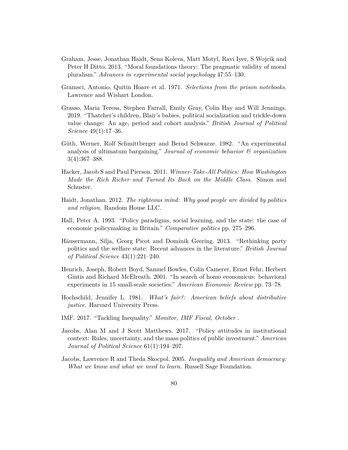- <span id="page-39-3"></span>Graham, Jesse, Jonathan Haidt, Sena Koleva, Matt Motyl, Ravi Iyer, S Wojcik and Peter H Ditto. 2013. "Moral foundations theory: The pragmatic validity of moral pluralism." *Advances in experimental social psychology* 47:55–130.
- <span id="page-39-1"></span>Gramsci, Antonio, Quitin Hoare et al. 1971. *Selections from the prison notebooks*. Lawrence and Wishart London.
- Grasso, Maria Teresa, Stephen Farrall, Emily Gray, Colin Hay and Will Jennings. 2019. "Thatcher's children, Blair's babies, political socialization and trickle-down value change: An age, period and cohort analysis." *British Journal of Political Science* 49(1):17–36.
- <span id="page-39-4"></span>Güth, Werner, Rolf Schmittberger and Bernd Schwarze. 1982. "An experimental analysis of ultimatum bargaining." *Journal of economic behavior & organization* 3(4):367–388.
- Hacker, Jacob S and Paul Pierson. 2011. *Winner-Take-All Politics: How Washington Made the Rich Richer–and Turned Its Back on the Middle Class*. Simon and Schuster.
- Haidt, Jonathan. 2012. *The righteous mind: Why good people are divided by politics and religion*. Random House LLC.
- Hall, Peter A. 1993. "Policy paradigms, social learning, and the state: the case of economic policymaking in Britain." *Comparative politics* pp. 275–296.
- Häusermann, Silja, Georg Picot and Dominik Geering. 2013. "Rethinking party politics and the welfare state: Recent advances in the literature." *British Journal of Political Science* 43(1):221–240.
- <span id="page-39-2"></span>Henrich, Joseph, Robert Boyd, Samuel Bowles, Colin Camerer, Ernst Fehr, Herbert Gintis and Richard McElreath. 2001. "In search of homo economicus: behavioral experiments in 15 small-scale societies." *American Economic Review* pp. 73–78.
- <span id="page-39-0"></span>Hochschild, Jennifer L. 1981. *What's fair?: American beliefs about distributive justice*. Harvard University Press.
- IMF. 2017. "Tackling Inequality." *Monitor, IMF Fiscal, October* .
- Jacobs, Alan M and J Scott Matthews. 2017. "Policy attitudes in institutional context: Rules, uncertainty, and the mass politics of public investment." *American Journal of Political Science* 61(1):194–207.
- Jacobs, Lawrence R and Theda Skocpol. 2005. *Inequality and American democracy: What we know and what we need to learn*. Russell Sage Foundation.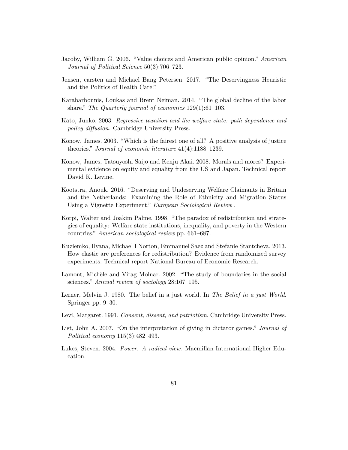- Jacoby, William G. 2006. "Value choices and American public opinion." *American Journal of Political Science* 50(3):706–723.
- <span id="page-40-3"></span>Jensen, carsten and Michael Bang Petersen. 2017. "The Deservingness Heuristic and the Politics of Health Care.".
- Karabarbounis, Loukas and Brent Neiman. 2014. "The global decline of the labor share." *The Quarterly journal of economics* 129(1):61–103.
- <span id="page-40-9"></span>Kato, Junko. 2003. *Regressive taxation and the welfare state: path dependence and policy difusion*. Cambridge University Press.
- <span id="page-40-5"></span>Konow, James. 2003. "Which is the fairest one of all? A positive analysis of justice theories." *Journal of economic literature* 41(4):1188–1239.
- <span id="page-40-7"></span>Konow, James, Tatsuyoshi Saijo and Kenju Akai. 2008. Morals and mores? Experimental evidence on equity and equality from the US and Japan. Technical report David K. Levine.
- <span id="page-40-8"></span>Kootstra, Anouk. 2016. "Deserving and Undeserving Welfare Claimants in Britain and the Netherlands: Examining the Role of Ethnicity and Migration Status Using a Vignette Experiment." *European Sociological Review* .
- <span id="page-40-4"></span>Korpi, Walter and Joakim Palme. 1998. "The paradox of redistribution and strategies of equality: Welfare state institutions, inequality, and poverty in the Western countries." *American sociological review* pp. 661–687.
- Kuziemko, Ilyana, Michael I Norton, Emmanuel Saez and Stefanie Stantcheva. 2013. How elastic are preferences for redistribution? Evidence from randomized survey experiments. Technical report National Bureau of Economic Research.
- <span id="page-40-0"></span>Lamont, Michèle and Virag Molnar. 2002. "The study of boundaries in the social sciences." *Annual review of sociology* 28:167–195.
- Lerner, Melvin J. 1980. The belief in a just world. In *The Belief in a just World*. Springer pp. 9–30.
- <span id="page-40-1"></span>Levi, Margaret. 1991. *Consent, dissent, and patriotism*. Cambridge University Press.
- <span id="page-40-6"></span>List, John A. 2007. "On the interpretation of giving in dictator games." *Journal of Political economy* 115(3):482–493.
- <span id="page-40-2"></span>Lukes, Steven. 2004. *Power: A radical view*. Macmillan International Higher Education.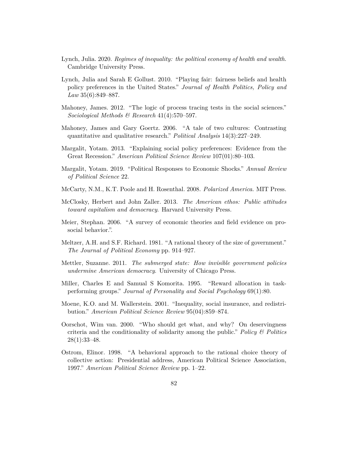- Lynch, Julia. 2020. *Regimes of inequality: the political economy of health and wealth*. Cambridge University Press.
- <span id="page-41-0"></span>Lynch, Julia and Sarah E Gollust. 2010. "Playing fair: fairness beliefs and health policy preferences in the United States." *Journal of Health Politics, Policy and Law* 35(6):849–887.
- Mahoney, James. 2012. "The logic of process tracing tests in the social sciences." *Sociological Methods & Research* 41(4):570–597.
- Mahoney, James and Gary Goertz. 2006. "A tale of two cultures: Contrasting quantitative and qualitative research." *Political Analysis* 14(3):227–249.
- Margalit, Yotam. 2013. "Explaining social policy preferences: Evidence from the Great Recession." *American Political Science Review* 107(01):80–103.
- Margalit, Yotam. 2019. "Political Responses to Economic Shocks." *Annual Review of Political Science* 22.
- McCarty, N.M., K.T. Poole and H. Rosenthal. 2008. *Polarized America*. MIT Press.
- McClosky, Herbert and John Zaller. 2013. *The American ethos: Public attitudes toward capitalism and democracy*. Harvard University Press.
- <span id="page-41-3"></span>Meier, Stephan. 2006. "A survey of economic theories and feld evidence on prosocial behavior.".
- Meltzer, A.H. and S.F. Richard. 1981. "A rational theory of the size of government." *The Journal of Political Economy* pp. 914–927.
- Mettler, Suzanne. 2011. *The submerged state: How invisible government policies undermine American democracy*. University of Chicago Press.
- <span id="page-41-2"></span>Miller, Charles E and Samual S Komorita. 1995. "Reward allocation in taskperforming groups." *Journal of Personality and Social Psychology* 69(1):80.
- Moene, K.O. and M. Wallerstein. 2001. "Inequality, social insurance, and redistribution." *American Political Science Review* 95(04):859–874.
- Oorschot, Wim van. 2000. "Who should get what, and why? On deservingness criteria and the conditionality of solidarity among the public." *Policy & Politics*  $28(1):33-48.$
- <span id="page-41-1"></span>Ostrom, Elinor. 1998. "A behavioral approach to the rational choice theory of collective action: Presidential address, American Political Science Association, 1997." *American Political Science Review* pp. 1–22.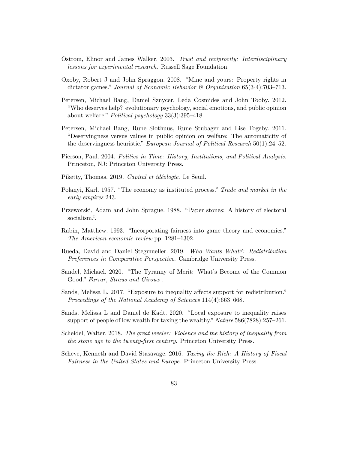- <span id="page-42-0"></span>Ostrom, Elinor and James Walker. 2003. *Trust and reciprocity: Interdisciplinary lessons for experimental research*. Russell Sage Foundation.
- <span id="page-42-5"></span>Oxoby, Robert J and John Spraggon. 2008. "Mine and yours: Property rights in dictator games." *Journal of Economic Behavior & Organization* 65(3-4):703–713.
- <span id="page-42-6"></span>Petersen, Michael Bang, Daniel Sznycer, Leda Cosmides and John Tooby. 2012. "Who deserves help? evolutionary psychology, social emotions, and public opinion about welfare." *Political psychology* 33(3):395–418.
- Petersen, Michael Bang, Rune Slothuus, Rune Stubager and Lise Togeby. 2011. "Deservingness versus values in public opinion on welfare: The automaticity of the deservingness heuristic." *European Journal of Political Research* 50(1):24–52.
- Pierson, Paul. 2004. *Politics in Time: History, Institutions, and Political Analysis*. Princeton, NJ: Princeton University Press.
- <span id="page-42-1"></span>Piketty, Thomas. 2019. *Capital et idéologie*. Le Seuil.
- <span id="page-42-4"></span>Polanyi, Karl. 1957. "The economy as instituted process." *Trade and market in the early empires* 243.
- <span id="page-42-3"></span>Przeworski, Adam and John Sprague. 1988. "Paper stones: A history of electoral socialism.".
- Rabin, Matthew. 1993. "Incorporating fairness into game theory and economics." *The American economic review* pp. 1281–1302.
- Rueda, David and Daniel Stegmueller. 2019. *Who Wants What?: Redistribution Preferences in Comparative Perspective*. Cambridge University Press.
- Sandel, Michael. 2020. "The Tyranny of Merit: What's Become of the Common Good." *Farrar, Straus and Giroux* .
- Sands, Melissa L. 2017. "Exposure to inequality afects support for redistribution." *Proceedings of the National Academy of Sciences* 114(4):663–668.
- Sands, Melissa L and Daniel de Kadt. 2020. "Local exposure to inequality raises support of people of low wealth for taxing the wealthy." *Nature* 586(7828):257–261.
- Scheidel, Walter. 2018. *The great leveler: Violence and the history of inequality from the stone age to the twenty-frst century*. Princeton University Press.
- <span id="page-42-2"></span>Scheve, Kenneth and David Stasavage. 2016. *Taxing the Rich: A History of Fiscal Fairness in the United States and Europe*. Princeton University Press.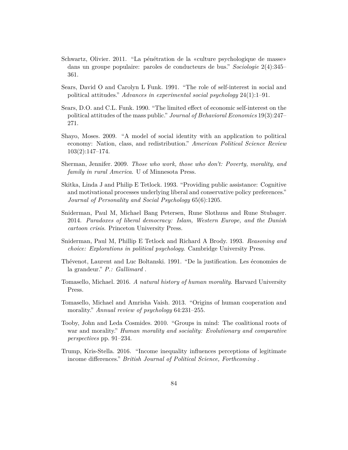- Schwartz, Olivier. 2011. "La pénétration de la «culture psychologique de masse» dans un groupe populaire: paroles de conducteurs de bus." *Sociologie* 2(4):345– 361.
- Sears, David O and Carolyn L Funk. 1991. "The role of self-interest in social and political attitudes." *Advances in experimental social psychology* 24(1):1–91.
- Sears, D.O. and C.L. Funk. 1990. "The limited efect of economic self-interest on the political attitudes of the mass public." *Journal of Behavioral Economics* 19(3):247– 271.
- Shayo, Moses. 2009. "A model of social identity with an application to political economy: Nation, class, and redistribution." *American Political Science Review* 103(2):147–174.
- Sherman, Jennifer. 2009. *Those who work, those who don't: Poverty, morality, and family in rural America*. U of Minnesota Press.
- <span id="page-43-4"></span>Skitka, Linda J and Philip E Tetlock. 1993. "Providing public assistance: Cognitive and motivational processes underlying liberal and conservative policy preferences." *Journal of Personality and Social Psychology* 65(6):1205.
- <span id="page-43-3"></span>Sniderman, Paul M, Michael Bang Petersen, Rune Slothuus and Rune Stubager. 2014. *Paradoxes of liberal democracy: Islam, Western Europe, and the Danish cartoon crisis*. Princeton University Press.
- <span id="page-43-5"></span>Sniderman, Paul M, Phillip E Tetlock and Richard A Brody. 1993. *Reasoning and choice: Explorations in political psychology*. Cambridge University Press.
- <span id="page-43-1"></span>Thévenot, Laurent and Luc Boltanski. 1991. "De la justifcation. Les économies de la grandeur." *P.: Gallimard* .
- <span id="page-43-0"></span>Tomasello, Michael. 2016. *A natural history of human morality*. Harvard University Press.
- <span id="page-43-6"></span>Tomasello, Michael and Amrisha Vaish. 2013. "Origins of human cooperation and morality." *Annual review of psychology* 64:231–255.
- <span id="page-43-2"></span>Tooby, John and Leda Cosmides. 2010. "Groups in mind: The coalitional roots of war and morality." *Human morality and sociality: Evolutionary and comparative perspectives* pp. 91–234.
- Trump, Kris-Stella. 2016. "Income inequality infuences perceptions of legitimate income diferences." *British Journal of Political Science, Forthcoming* .